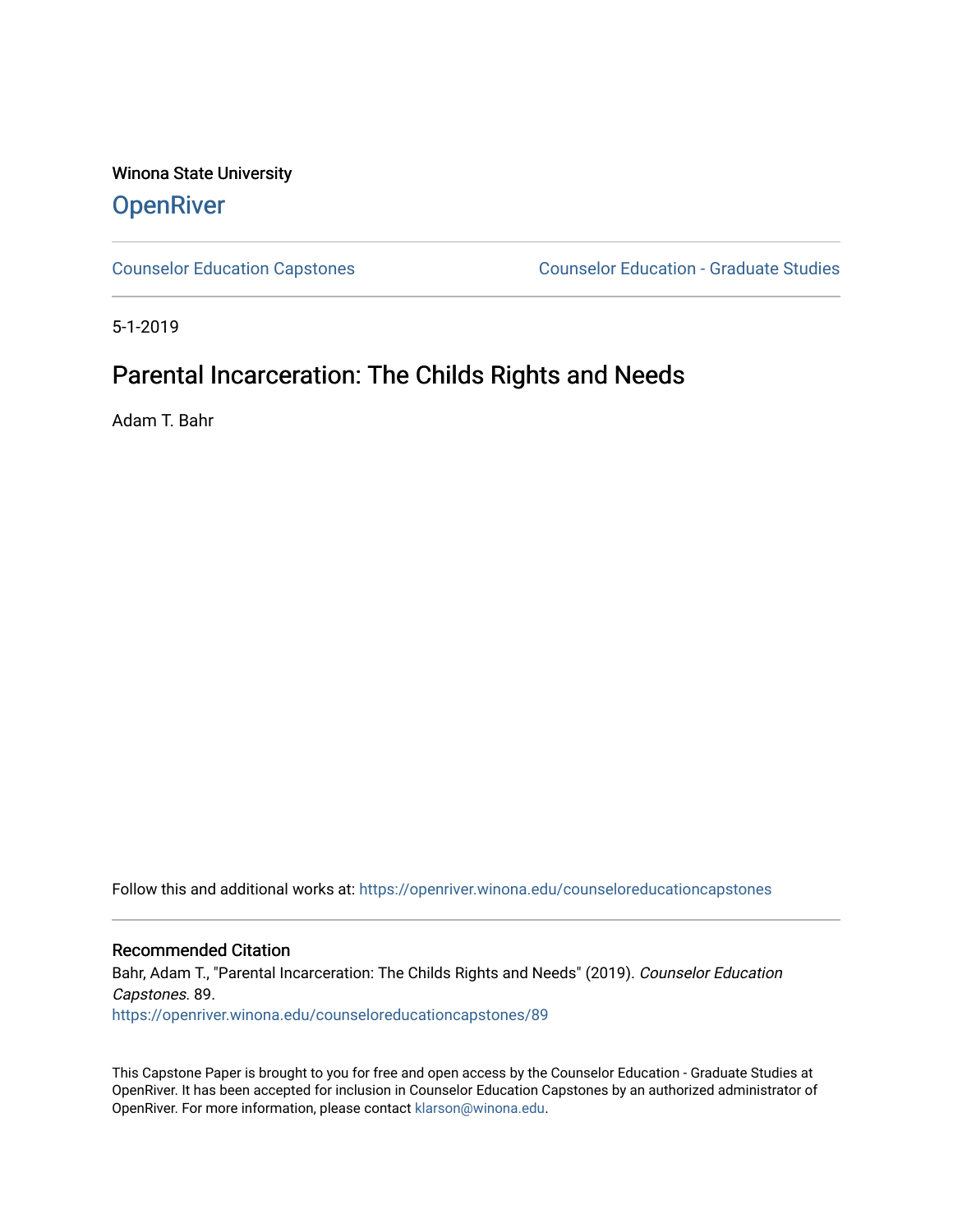Winona State University **OpenRiver** 

[Counselor Education Capstones](https://openriver.winona.edu/counseloreducationcapstones) [Counselor Education - Graduate Studies](https://openriver.winona.edu/counseloreducation) 

5-1-2019

# Parental Incarceration: The Childs Rights and Needs

Adam T. Bahr

Follow this and additional works at: [https://openriver.winona.edu/counseloreducationcapstones](https://openriver.winona.edu/counseloreducationcapstones?utm_source=openriver.winona.edu%2Fcounseloreducationcapstones%2F89&utm_medium=PDF&utm_campaign=PDFCoverPages)

Recommended Citation

Bahr, Adam T., "Parental Incarceration: The Childs Rights and Needs" (2019). Counselor Education Capstones. 89.

[https://openriver.winona.edu/counseloreducationcapstones/89](https://openriver.winona.edu/counseloreducationcapstones/89?utm_source=openriver.winona.edu%2Fcounseloreducationcapstones%2F89&utm_medium=PDF&utm_campaign=PDFCoverPages) 

This Capstone Paper is brought to you for free and open access by the Counselor Education - Graduate Studies at OpenRiver. It has been accepted for inclusion in Counselor Education Capstones by an authorized administrator of OpenRiver. For more information, please contact [klarson@winona.edu](mailto:klarson@winona.edu).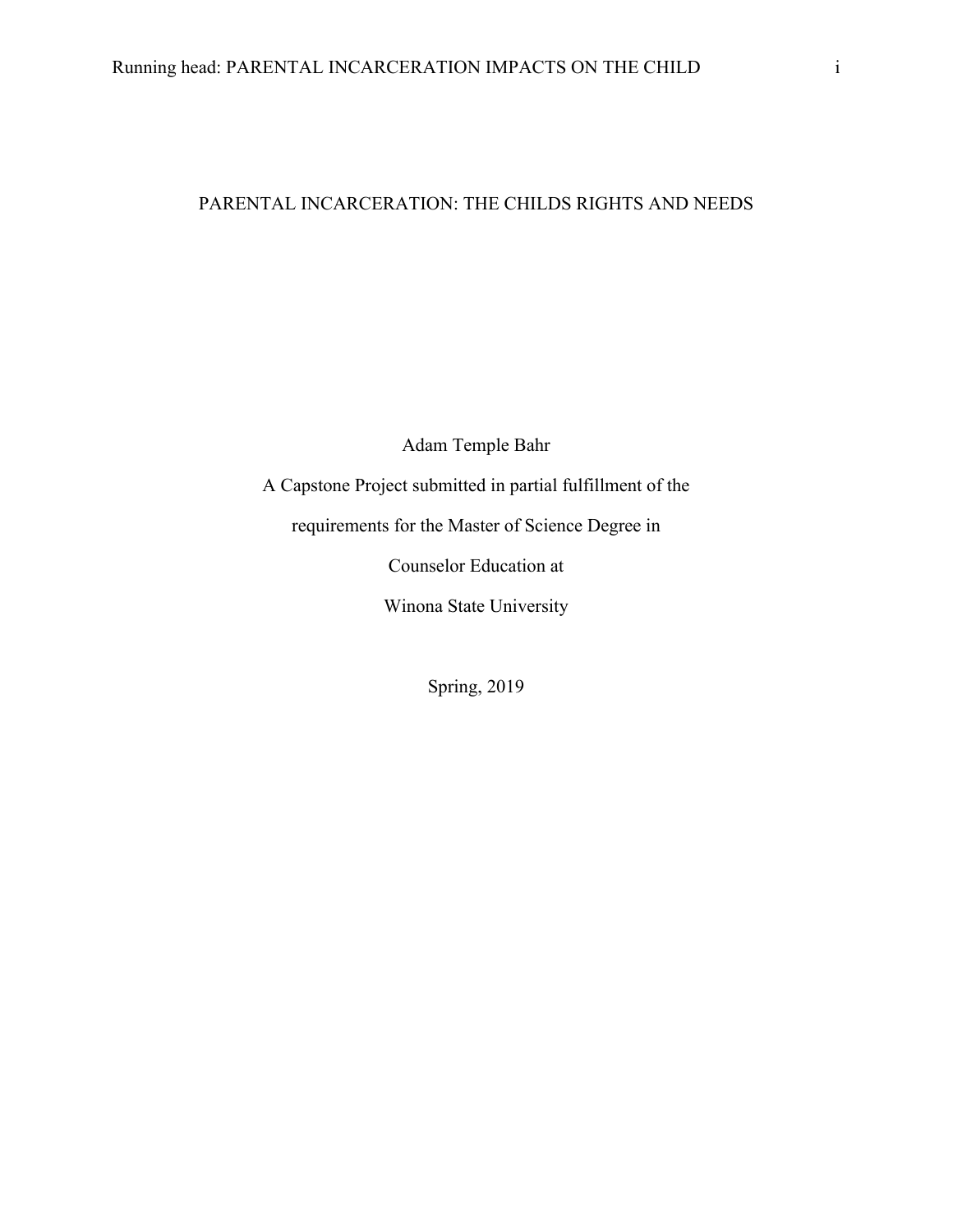## PARENTAL INCARCERATION: THE CHILDS RIGHTS AND NEEDS

Adam Temple Bahr

A Capstone Project submitted in partial fulfillment of the

requirements for the Master of Science Degree in

Counselor Education at

Winona State University

Spring, 2019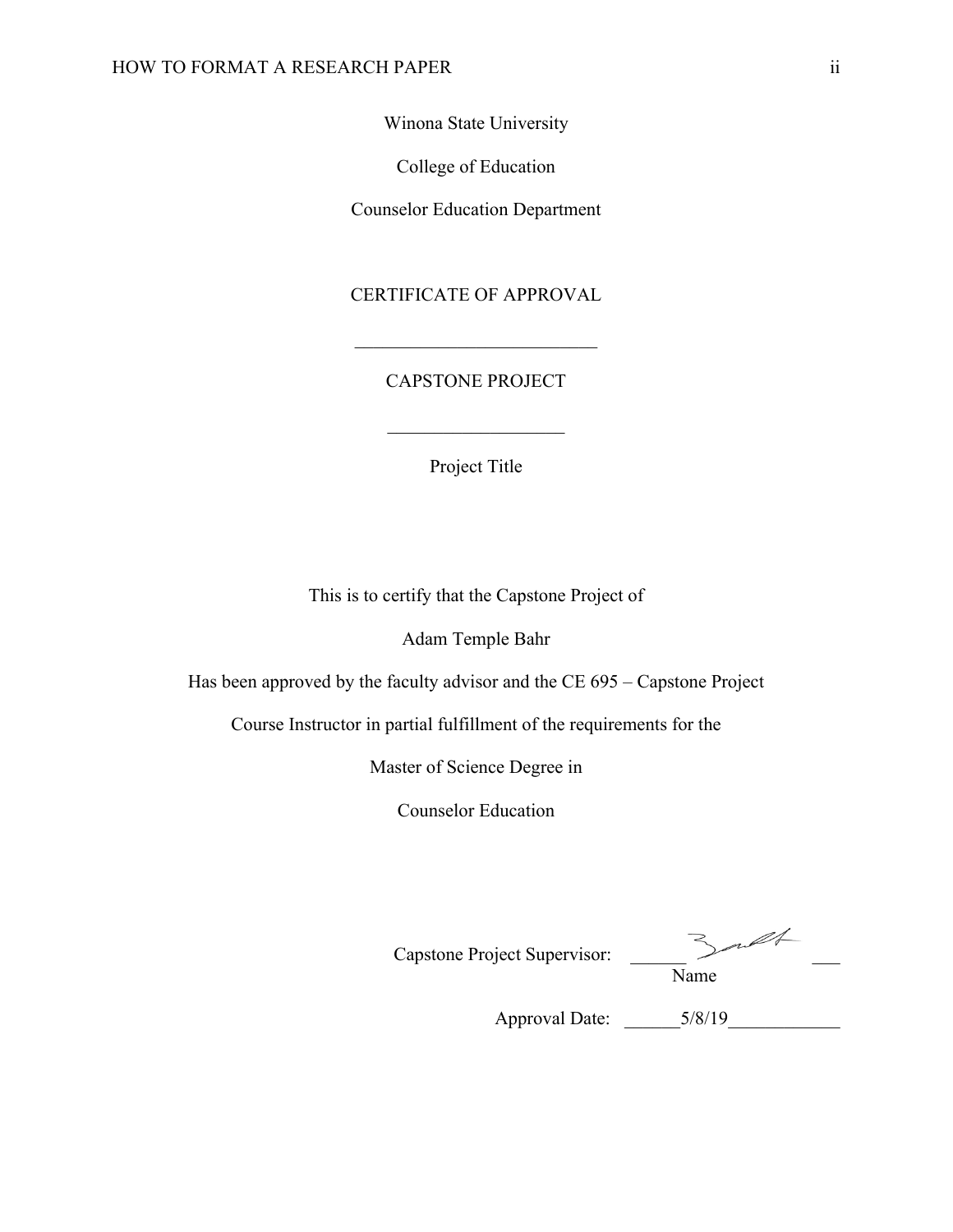Winona State University

College of Education

Counselor Education Department

# CERTIFICATE OF APPROVAL

# CAPSTONE PROJECT

Project Title

This is to certify that the Capstone Project of

Adam Temple Bahr

Has been approved by the faculty advisor and the CE 695 – Capstone Project

Course Instructor in partial fulfillment of the requirements for the

Master of Science Degree in

Counselor Education

| Capstone Project Supervisor: | nt<br>Name |
|------------------------------|------------|
| <b>Approval Date:</b>        | 5/8/19     |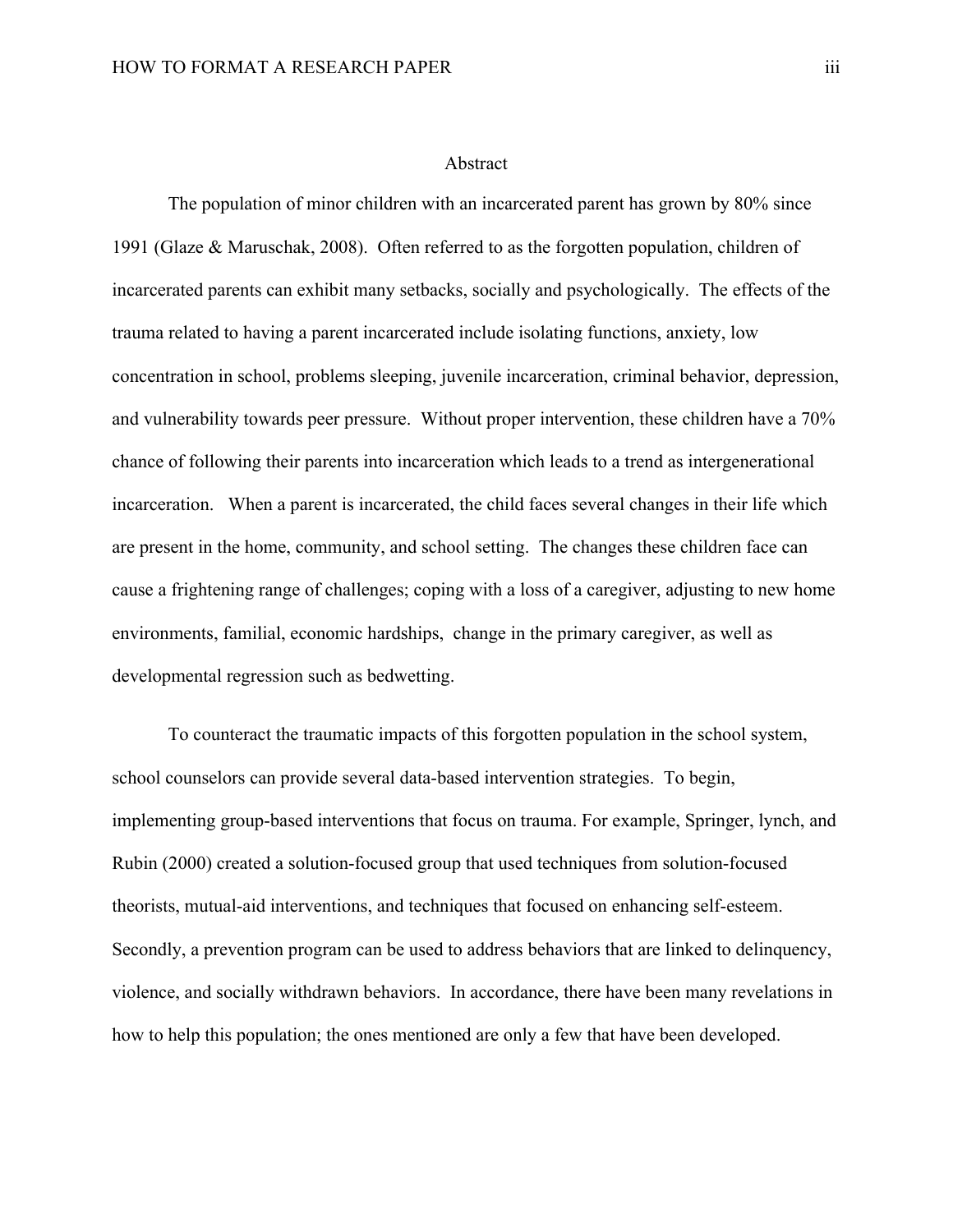#### Abstract

The population of minor children with an incarcerated parent has grown by 80% since 1991 (Glaze & Maruschak, 2008). Often referred to as the forgotten population, children of incarcerated parents can exhibit many setbacks, socially and psychologically. The effects of the trauma related to having a parent incarcerated include isolating functions, anxiety, low concentration in school, problems sleeping, juvenile incarceration, criminal behavior, depression, and vulnerability towards peer pressure. Without proper intervention, these children have a 70% chance of following their parents into incarceration which leads to a trend as intergenerational incarceration. When a parent is incarcerated, the child faces several changes in their life which are present in the home, community, and school setting. The changes these children face can cause a frightening range of challenges; coping with a loss of a caregiver, adjusting to new home environments, familial, economic hardships, change in the primary caregiver, as well as developmental regression such as bedwetting.

To counteract the traumatic impacts of this forgotten population in the school system, school counselors can provide several data-based intervention strategies. To begin, implementing group-based interventions that focus on trauma. For example, Springer, lynch, and Rubin (2000) created a solution-focused group that used techniques from solution-focused theorists, mutual-aid interventions, and techniques that focused on enhancing self-esteem. Secondly, a prevention program can be used to address behaviors that are linked to delinquency, violence, and socially withdrawn behaviors. In accordance, there have been many revelations in how to help this population; the ones mentioned are only a few that have been developed.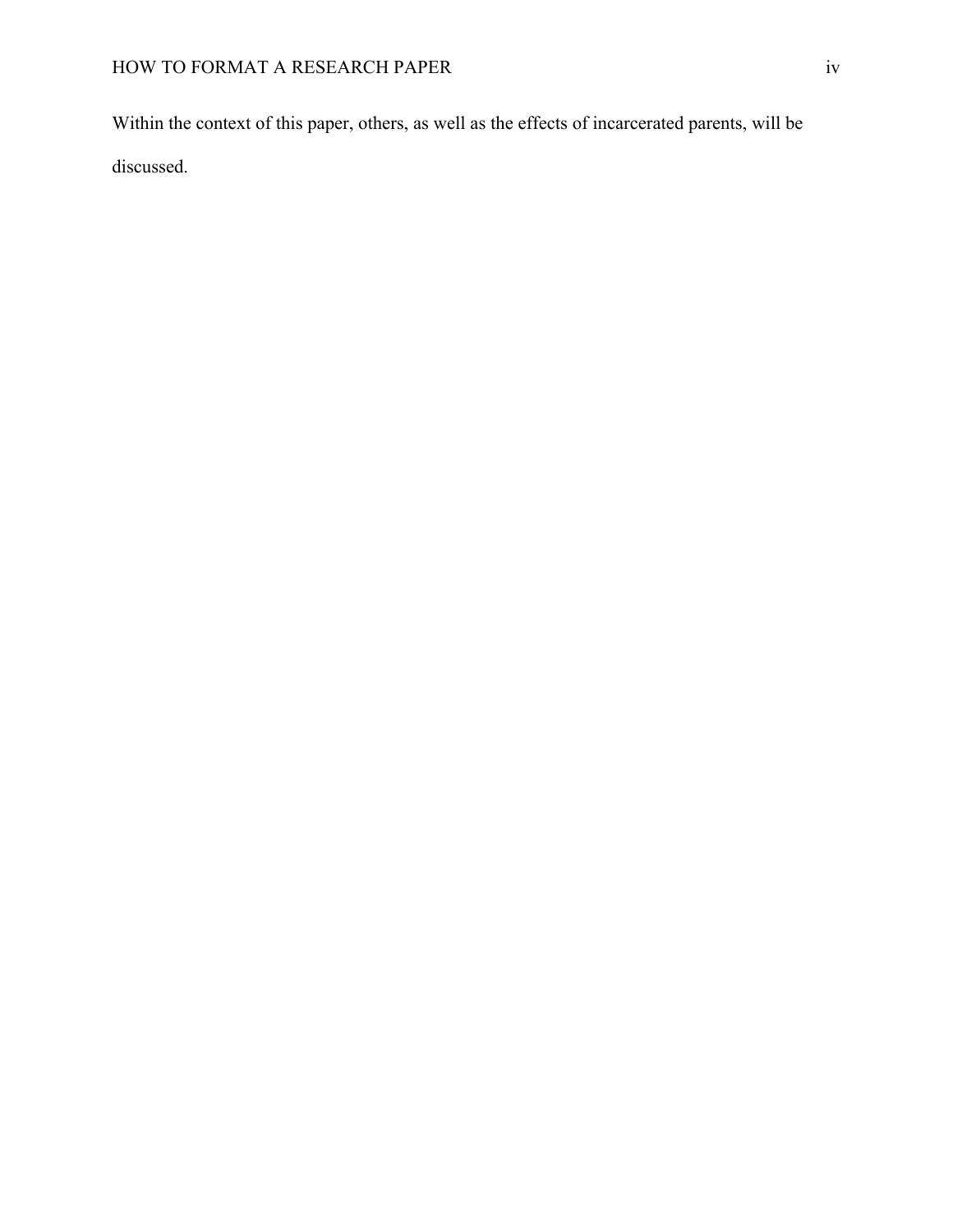Within the context of this paper, others, as well as the effects of incarcerated parents, will be discussed.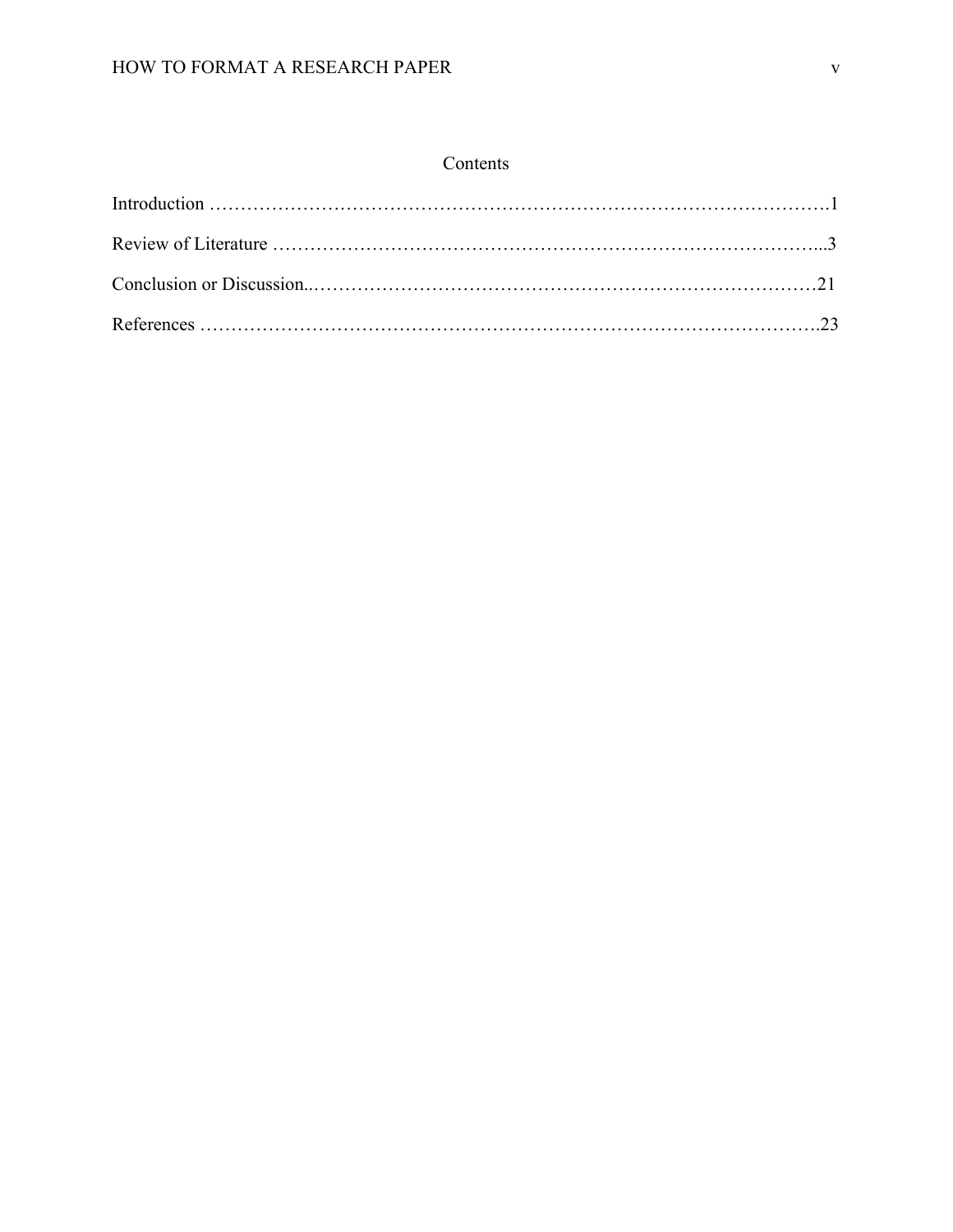# Contents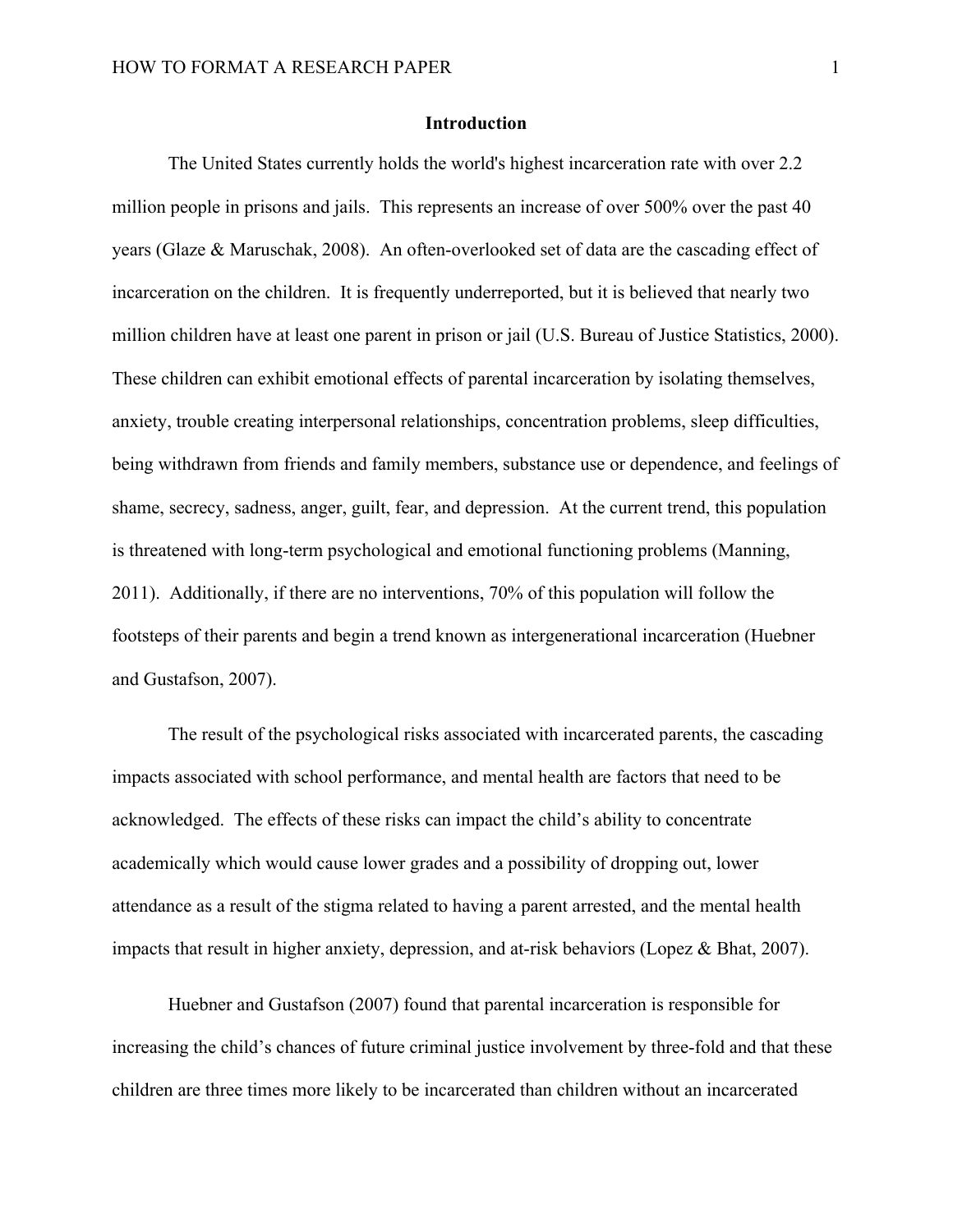## **Introduction**

The United States currently holds the world's highest incarceration rate with over 2.2 million people in prisons and jails. This represents an increase of over 500% over the past 40 years (Glaze & Maruschak, 2008). An often-overlooked set of data are the cascading effect of incarceration on the children. It is frequently underreported, but it is believed that nearly two million children have at least one parent in prison or jail (U.S. Bureau of Justice Statistics, 2000). These children can exhibit emotional effects of parental incarceration by isolating themselves, anxiety, trouble creating interpersonal relationships, concentration problems, sleep difficulties, being withdrawn from friends and family members, substance use or dependence, and feelings of shame, secrecy, sadness, anger, guilt, fear, and depression. At the current trend, this population is threatened with long-term psychological and emotional functioning problems (Manning, 2011). Additionally, if there are no interventions, 70% of this population will follow the footsteps of their parents and begin a trend known as intergenerational incarceration (Huebner and Gustafson, 2007).

The result of the psychological risks associated with incarcerated parents, the cascading impacts associated with school performance, and mental health are factors that need to be acknowledged. The effects of these risks can impact the child's ability to concentrate academically which would cause lower grades and a possibility of dropping out, lower attendance as a result of the stigma related to having a parent arrested, and the mental health impacts that result in higher anxiety, depression, and at-risk behaviors (Lopez & Bhat, 2007).

Huebner and Gustafson (2007) found that parental incarceration is responsible for increasing the child's chances of future criminal justice involvement by three-fold and that these children are three times more likely to be incarcerated than children without an incarcerated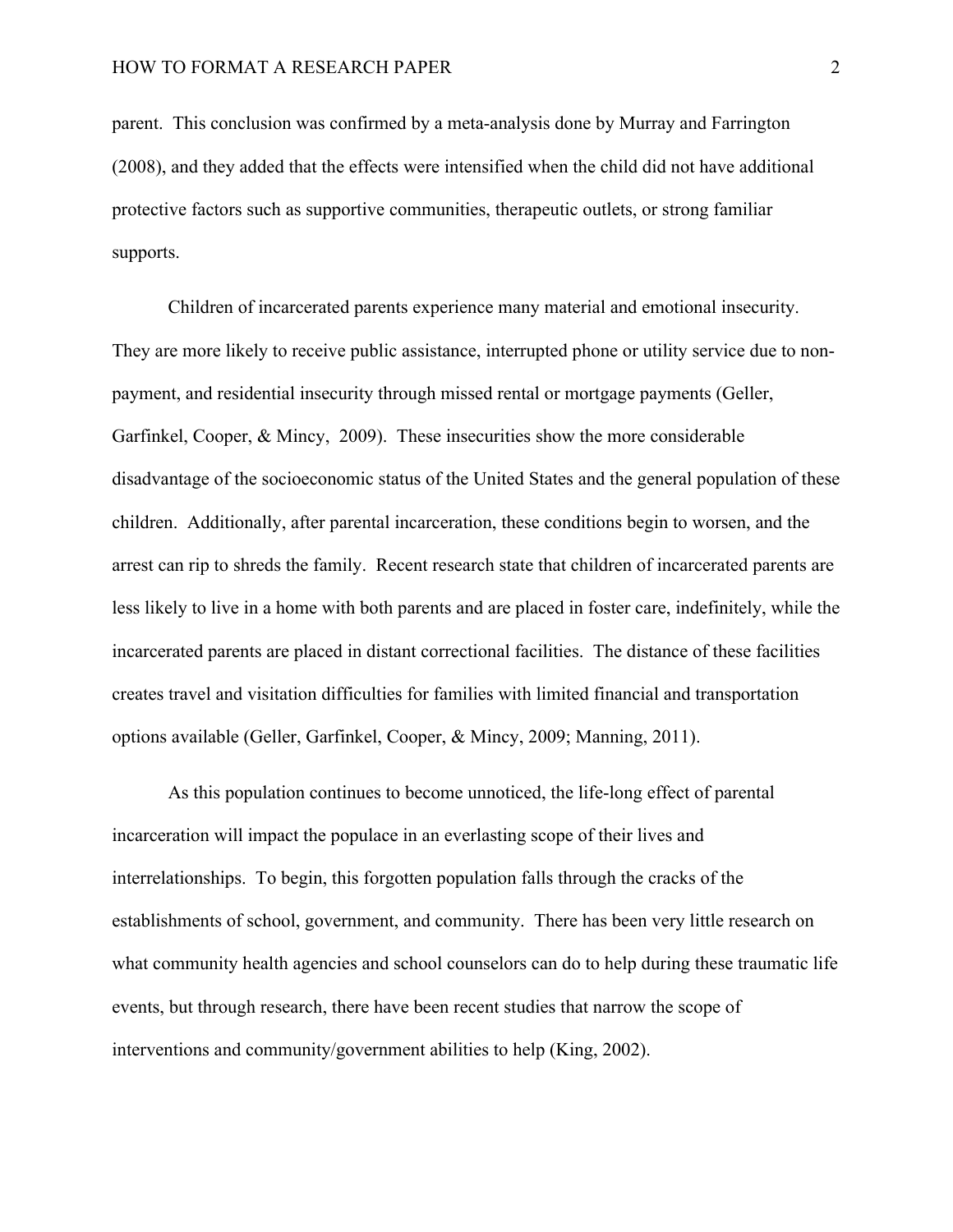parent. This conclusion was confirmed by a meta-analysis done by Murray and Farrington (2008), and they added that the effects were intensified when the child did not have additional protective factors such as supportive communities, therapeutic outlets, or strong familiar supports.

Children of incarcerated parents experience many material and emotional insecurity. They are more likely to receive public assistance, interrupted phone or utility service due to nonpayment, and residential insecurity through missed rental or mortgage payments (Geller, Garfinkel, Cooper, & Mincy, 2009). These insecurities show the more considerable disadvantage of the socioeconomic status of the United States and the general population of these children. Additionally, after parental incarceration, these conditions begin to worsen, and the arrest can rip to shreds the family. Recent research state that children of incarcerated parents are less likely to live in a home with both parents and are placed in foster care, indefinitely, while the incarcerated parents are placed in distant correctional facilities. The distance of these facilities creates travel and visitation difficulties for families with limited financial and transportation options available (Geller, Garfinkel, Cooper, & Mincy, 2009; Manning, 2011).

As this population continues to become unnoticed, the life-long effect of parental incarceration will impact the populace in an everlasting scope of their lives and interrelationships. To begin, this forgotten population falls through the cracks of the establishments of school, government, and community. There has been very little research on what community health agencies and school counselors can do to help during these traumatic life events, but through research, there have been recent studies that narrow the scope of interventions and community/government abilities to help (King, 2002).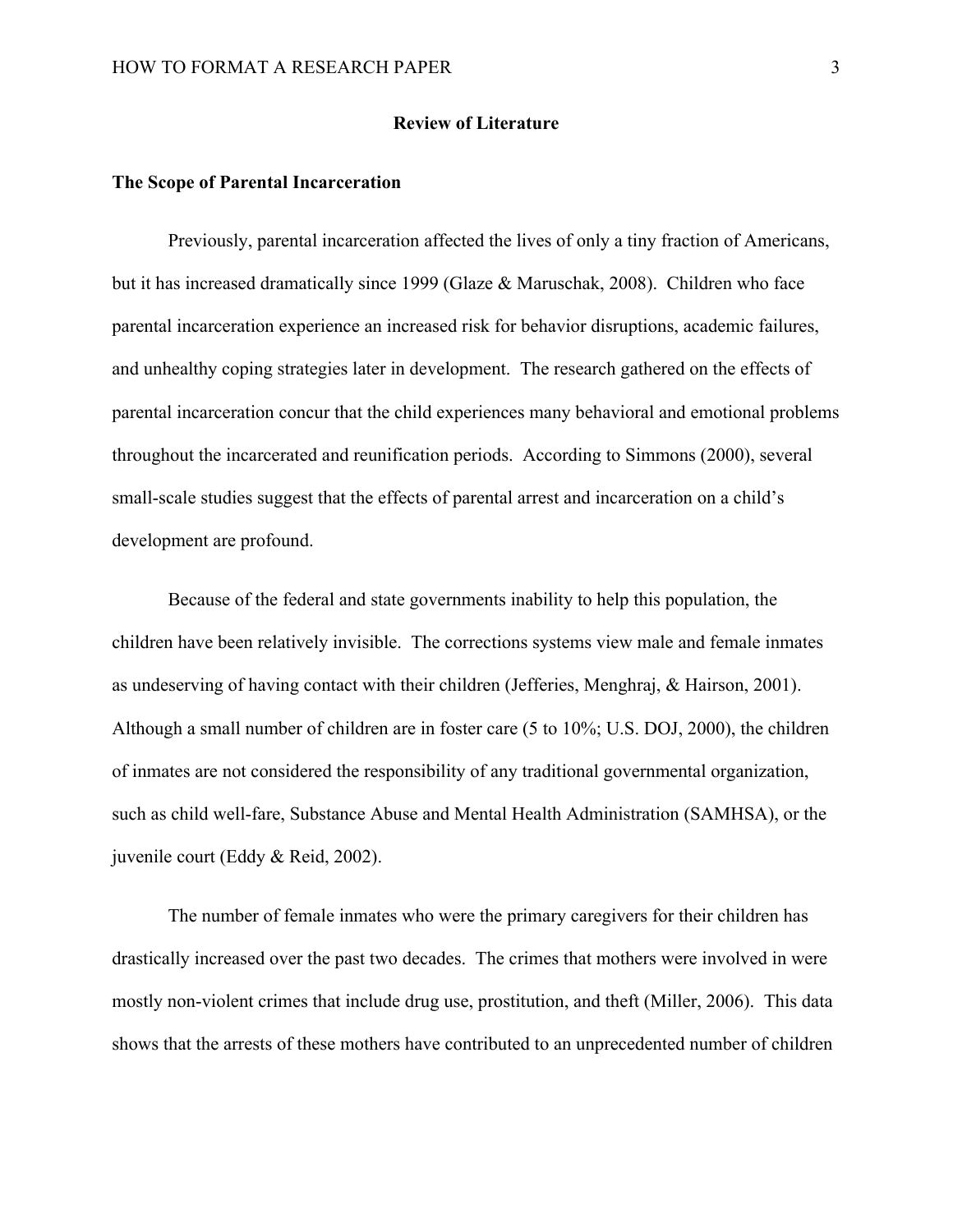#### **Review of Literature**

#### **The Scope of Parental Incarceration**

Previously, parental incarceration affected the lives of only a tiny fraction of Americans, but it has increased dramatically since 1999 (Glaze & Maruschak, 2008). Children who face parental incarceration experience an increased risk for behavior disruptions, academic failures, and unhealthy coping strategies later in development. The research gathered on the effects of parental incarceration concur that the child experiences many behavioral and emotional problems throughout the incarcerated and reunification periods. According to Simmons (2000), several small-scale studies suggest that the effects of parental arrest and incarceration on a child's development are profound.

Because of the federal and state governments inability to help this population, the children have been relatively invisible. The corrections systems view male and female inmates as undeserving of having contact with their children (Jefferies, Menghraj, & Hairson, 2001). Although a small number of children are in foster care (5 to 10%; U.S. DOJ, 2000), the children of inmates are not considered the responsibility of any traditional governmental organization, such as child well-fare, Substance Abuse and Mental Health Administration (SAMHSA), or the juvenile court (Eddy & Reid, 2002).

The number of female inmates who were the primary caregivers for their children has drastically increased over the past two decades. The crimes that mothers were involved in were mostly non-violent crimes that include drug use, prostitution, and theft (Miller, 2006). This data shows that the arrests of these mothers have contributed to an unprecedented number of children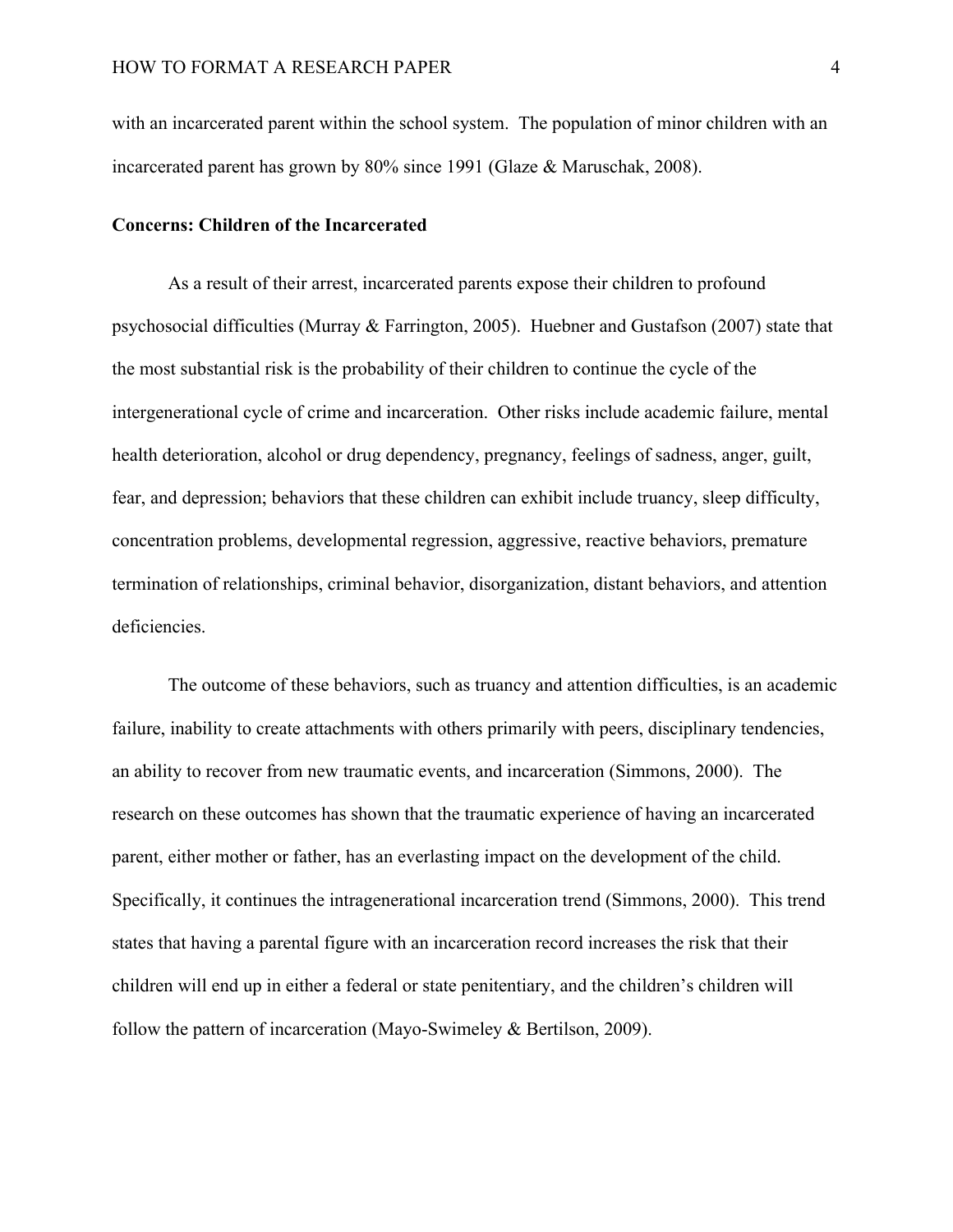with an incarcerated parent within the school system. The population of minor children with an incarcerated parent has grown by 80% since 1991 (Glaze & Maruschak, 2008).

### **Concerns: Children of the Incarcerated**

As a result of their arrest, incarcerated parents expose their children to profound psychosocial difficulties (Murray & Farrington, 2005). Huebner and Gustafson (2007) state that the most substantial risk is the probability of their children to continue the cycle of the intergenerational cycle of crime and incarceration. Other risks include academic failure, mental health deterioration, alcohol or drug dependency, pregnancy, feelings of sadness, anger, guilt, fear, and depression; behaviors that these children can exhibit include truancy, sleep difficulty, concentration problems, developmental regression, aggressive, reactive behaviors, premature termination of relationships, criminal behavior, disorganization, distant behaviors, and attention deficiencies.

The outcome of these behaviors, such as truancy and attention difficulties, is an academic failure, inability to create attachments with others primarily with peers, disciplinary tendencies, an ability to recover from new traumatic events, and incarceration (Simmons, 2000). The research on these outcomes has shown that the traumatic experience of having an incarcerated parent, either mother or father, has an everlasting impact on the development of the child. Specifically, it continues the intragenerational incarceration trend (Simmons, 2000). This trend states that having a parental figure with an incarceration record increases the risk that their children will end up in either a federal or state penitentiary, and the children's children will follow the pattern of incarceration (Mayo-Swimeley & Bertilson, 2009).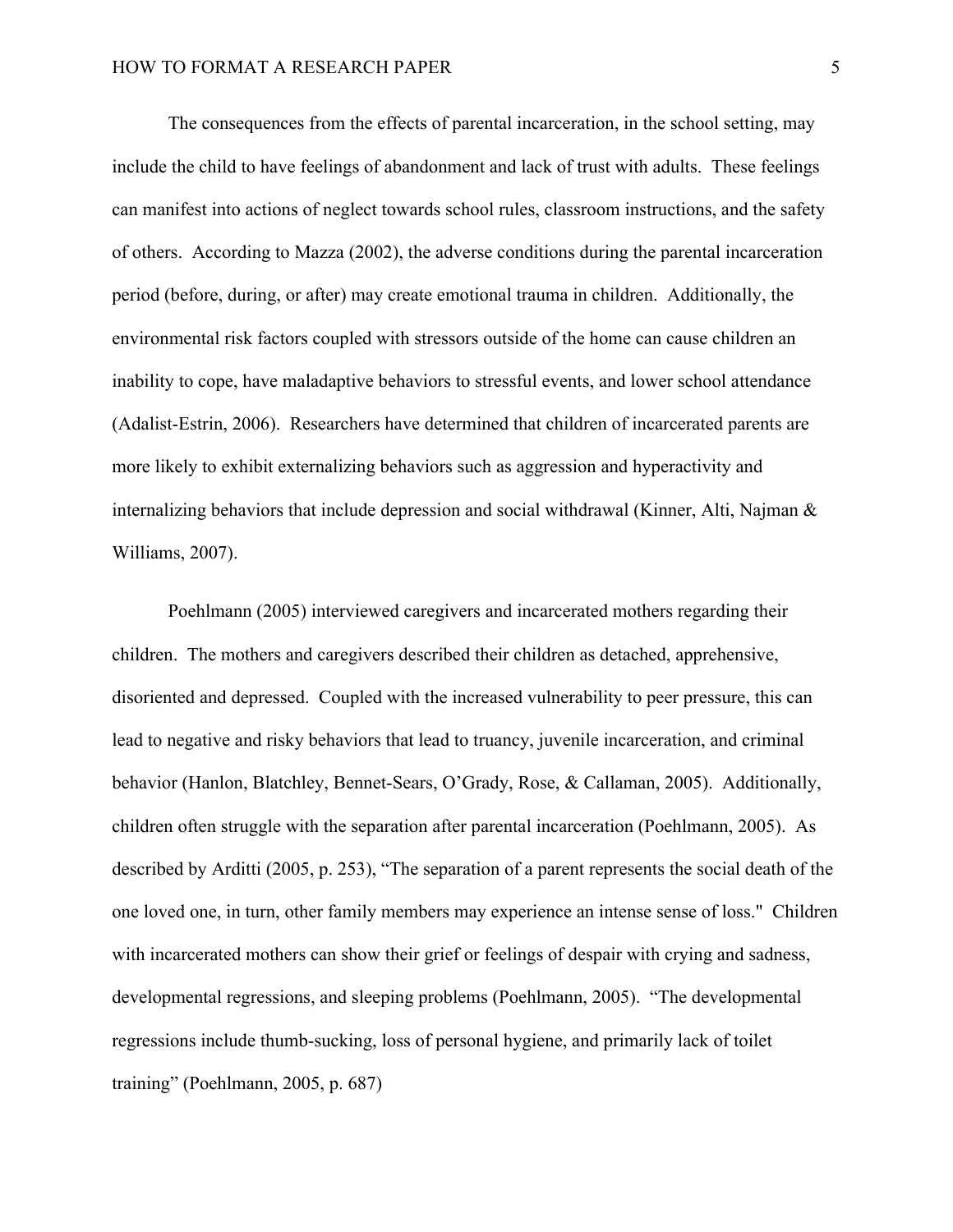The consequences from the effects of parental incarceration, in the school setting, may include the child to have feelings of abandonment and lack of trust with adults. These feelings can manifest into actions of neglect towards school rules, classroom instructions, and the safety of others. According to Mazza (2002), the adverse conditions during the parental incarceration period (before, during, or after) may create emotional trauma in children. Additionally, the environmental risk factors coupled with stressors outside of the home can cause children an inability to cope, have maladaptive behaviors to stressful events, and lower school attendance (Adalist-Estrin, 2006). Researchers have determined that children of incarcerated parents are more likely to exhibit externalizing behaviors such as aggression and hyperactivity and internalizing behaviors that include depression and social withdrawal (Kinner, Alti, Najman & Williams, 2007).

Poehlmann (2005) interviewed caregivers and incarcerated mothers regarding their children. The mothers and caregivers described their children as detached, apprehensive, disoriented and depressed. Coupled with the increased vulnerability to peer pressure, this can lead to negative and risky behaviors that lead to truancy, juvenile incarceration, and criminal behavior (Hanlon, Blatchley, Bennet-Sears, O'Grady, Rose, & Callaman, 2005). Additionally, children often struggle with the separation after parental incarceration (Poehlmann, 2005). As described by Arditti (2005, p. 253), "The separation of a parent represents the social death of the one loved one, in turn, other family members may experience an intense sense of loss." Children with incarcerated mothers can show their grief or feelings of despair with crying and sadness, developmental regressions, and sleeping problems (Poehlmann, 2005). "The developmental regressions include thumb-sucking, loss of personal hygiene, and primarily lack of toilet training" (Poehlmann, 2005, p. 687)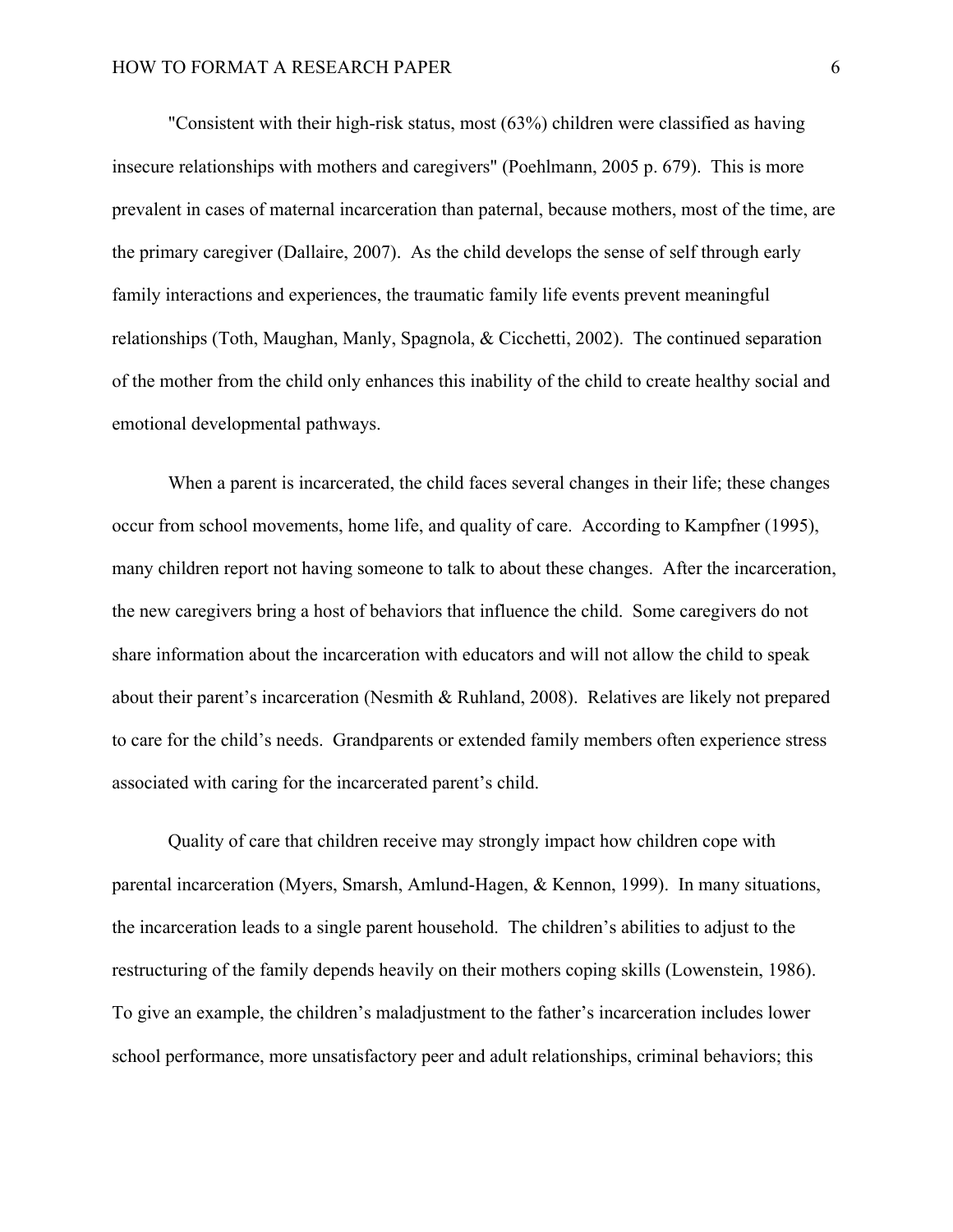"Consistent with their high-risk status, most (63%) children were classified as having insecure relationships with mothers and caregivers" (Poehlmann, 2005 p. 679). This is more prevalent in cases of maternal incarceration than paternal, because mothers, most of the time, are the primary caregiver (Dallaire, 2007). As the child develops the sense of self through early family interactions and experiences, the traumatic family life events prevent meaningful relationships (Toth, Maughan, Manly, Spagnola, & Cicchetti, 2002). The continued separation of the mother from the child only enhances this inability of the child to create healthy social and emotional developmental pathways.

When a parent is incarcerated, the child faces several changes in their life; these changes occur from school movements, home life, and quality of care. According to Kampfner (1995), many children report not having someone to talk to about these changes. After the incarceration, the new caregivers bring a host of behaviors that influence the child. Some caregivers do not share information about the incarceration with educators and will not allow the child to speak about their parent's incarceration (Nesmith & Ruhland, 2008). Relatives are likely not prepared to care for the child's needs. Grandparents or extended family members often experience stress associated with caring for the incarcerated parent's child.

Quality of care that children receive may strongly impact how children cope with parental incarceration (Myers, Smarsh, Amlund-Hagen, & Kennon, 1999). In many situations, the incarceration leads to a single parent household. The children's abilities to adjust to the restructuring of the family depends heavily on their mothers coping skills (Lowenstein, 1986). To give an example, the children's maladjustment to the father's incarceration includes lower school performance, more unsatisfactory peer and adult relationships, criminal behaviors; this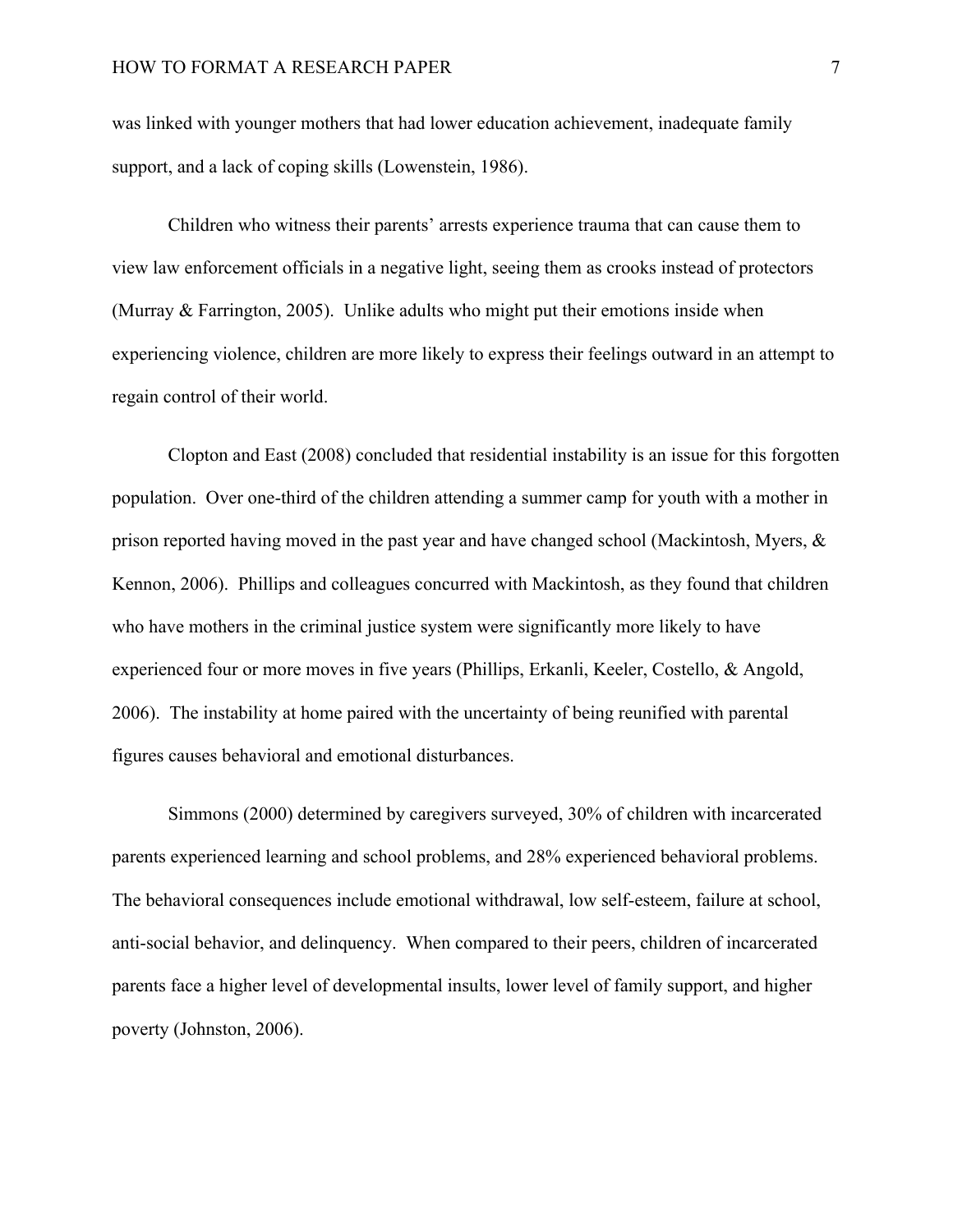was linked with younger mothers that had lower education achievement, inadequate family support, and a lack of coping skills (Lowenstein, 1986).

Children who witness their parents' arrests experience trauma that can cause them to view law enforcement officials in a negative light, seeing them as crooks instead of protectors (Murray & Farrington, 2005). Unlike adults who might put their emotions inside when experiencing violence, children are more likely to express their feelings outward in an attempt to regain control of their world.

Clopton and East (2008) concluded that residential instability is an issue for this forgotten population. Over one-third of the children attending a summer camp for youth with a mother in prison reported having moved in the past year and have changed school (Mackintosh, Myers, & Kennon, 2006). Phillips and colleagues concurred with Mackintosh, as they found that children who have mothers in the criminal justice system were significantly more likely to have experienced four or more moves in five years (Phillips, Erkanli, Keeler, Costello, & Angold, 2006). The instability at home paired with the uncertainty of being reunified with parental figures causes behavioral and emotional disturbances.

Simmons (2000) determined by caregivers surveyed, 30% of children with incarcerated parents experienced learning and school problems, and 28% experienced behavioral problems. The behavioral consequences include emotional withdrawal, low self-esteem, failure at school, anti-social behavior, and delinquency. When compared to their peers, children of incarcerated parents face a higher level of developmental insults, lower level of family support, and higher poverty (Johnston, 2006).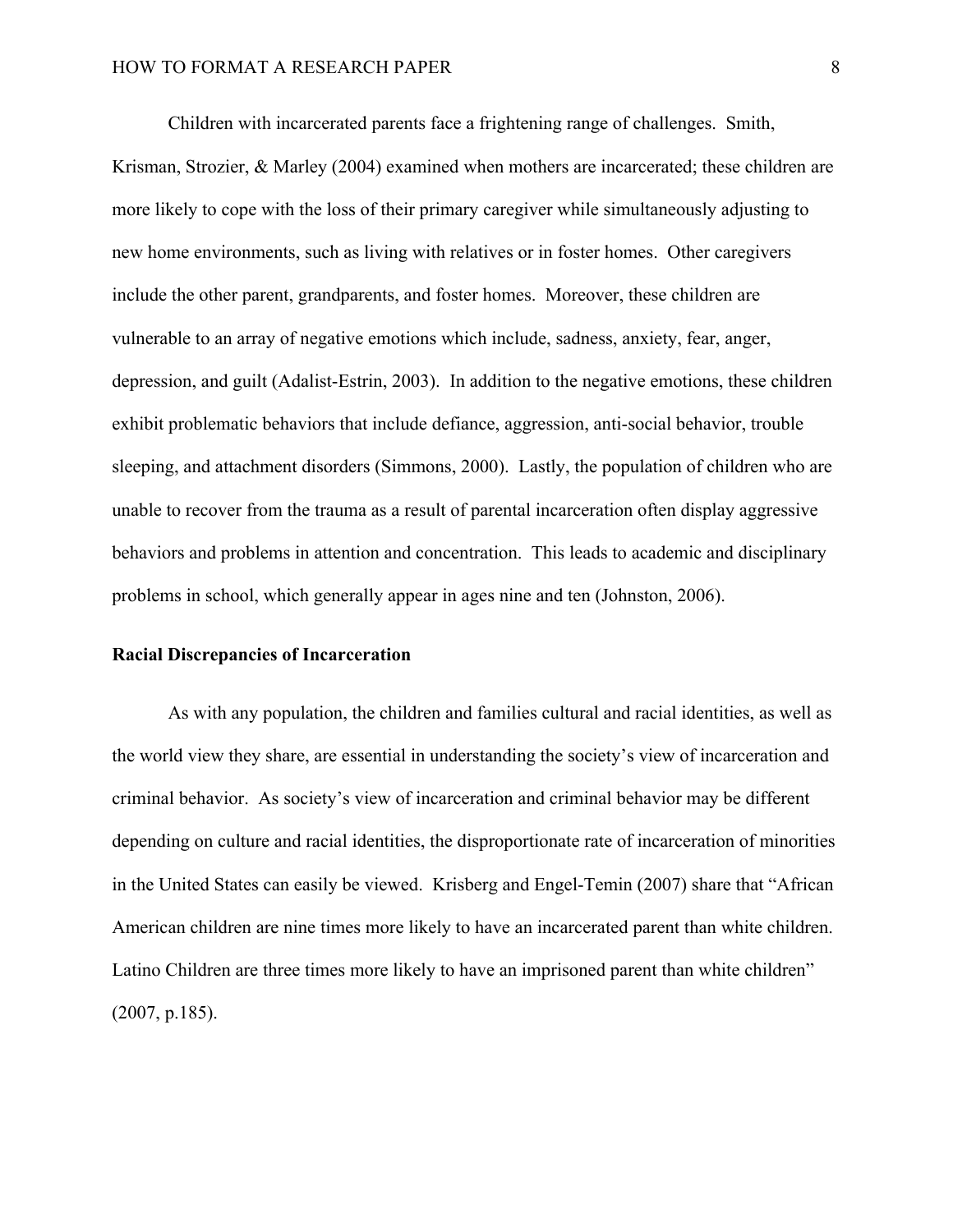Children with incarcerated parents face a frightening range of challenges. Smith, Krisman, Strozier, & Marley (2004) examined when mothers are incarcerated; these children are more likely to cope with the loss of their primary caregiver while simultaneously adjusting to new home environments, such as living with relatives or in foster homes. Other caregivers include the other parent, grandparents, and foster homes. Moreover, these children are vulnerable to an array of negative emotions which include, sadness, anxiety, fear, anger, depression, and guilt (Adalist-Estrin, 2003). In addition to the negative emotions, these children exhibit problematic behaviors that include defiance, aggression, anti-social behavior, trouble sleeping, and attachment disorders (Simmons, 2000). Lastly, the population of children who are unable to recover from the trauma as a result of parental incarceration often display aggressive behaviors and problems in attention and concentration. This leads to academic and disciplinary problems in school, which generally appear in ages nine and ten (Johnston, 2006).

#### **Racial Discrepancies of Incarceration**

As with any population, the children and families cultural and racial identities, as well as the world view they share, are essential in understanding the society's view of incarceration and criminal behavior. As society's view of incarceration and criminal behavior may be different depending on culture and racial identities, the disproportionate rate of incarceration of minorities in the United States can easily be viewed. Krisberg and Engel-Temin (2007) share that "African American children are nine times more likely to have an incarcerated parent than white children. Latino Children are three times more likely to have an imprisoned parent than white children" (2007, p.185).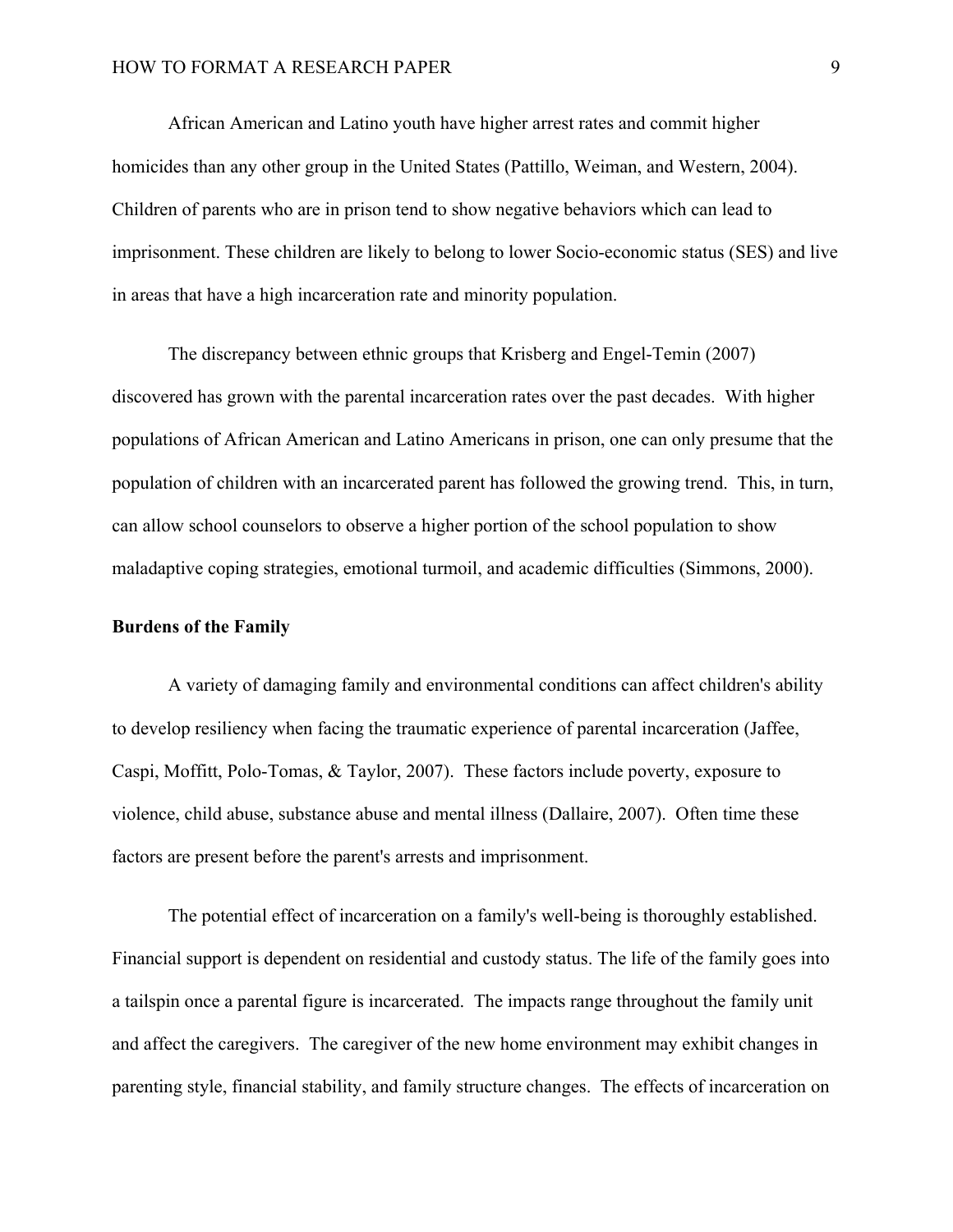African American and Latino youth have higher arrest rates and commit higher homicides than any other group in the United States (Pattillo, Weiman, and Western, 2004). Children of parents who are in prison tend to show negative behaviors which can lead to imprisonment. These children are likely to belong to lower Socio-economic status (SES) and live in areas that have a high incarceration rate and minority population.

The discrepancy between ethnic groups that Krisberg and Engel-Temin (2007) discovered has grown with the parental incarceration rates over the past decades. With higher populations of African American and Latino Americans in prison, one can only presume that the population of children with an incarcerated parent has followed the growing trend. This, in turn, can allow school counselors to observe a higher portion of the school population to show maladaptive coping strategies, emotional turmoil, and academic difficulties (Simmons, 2000).

#### **Burdens of the Family**

A variety of damaging family and environmental conditions can affect children's ability to develop resiliency when facing the traumatic experience of parental incarceration (Jaffee, Caspi, Moffitt, Polo-Tomas, & Taylor, 2007). These factors include poverty, exposure to violence, child abuse, substance abuse and mental illness (Dallaire, 2007). Often time these factors are present before the parent's arrests and imprisonment.

The potential effect of incarceration on a family's well-being is thoroughly established. Financial support is dependent on residential and custody status. The life of the family goes into a tailspin once a parental figure is incarcerated. The impacts range throughout the family unit and affect the caregivers. The caregiver of the new home environment may exhibit changes in parenting style, financial stability, and family structure changes. The effects of incarceration on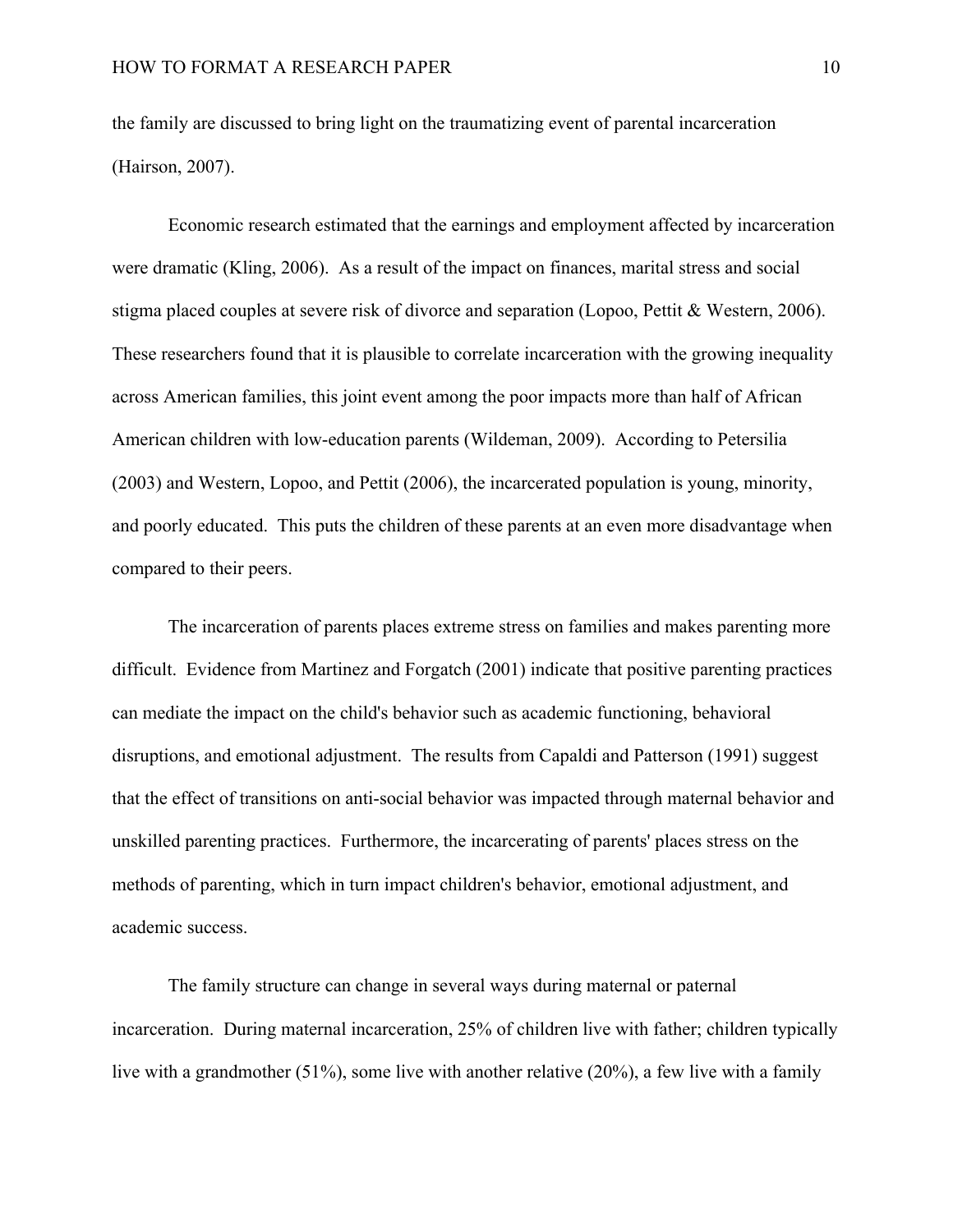the family are discussed to bring light on the traumatizing event of parental incarceration (Hairson, 2007).

Economic research estimated that the earnings and employment affected by incarceration were dramatic (Kling, 2006). As a result of the impact on finances, marital stress and social stigma placed couples at severe risk of divorce and separation (Lopoo, Pettit & Western, 2006). These researchers found that it is plausible to correlate incarceration with the growing inequality across American families, this joint event among the poor impacts more than half of African American children with low-education parents (Wildeman, 2009). According to Petersilia (2003) and Western, Lopoo, and Pettit (2006), the incarcerated population is young, minority, and poorly educated. This puts the children of these parents at an even more disadvantage when compared to their peers.

The incarceration of parents places extreme stress on families and makes parenting more difficult. Evidence from Martinez and Forgatch (2001) indicate that positive parenting practices can mediate the impact on the child's behavior such as academic functioning, behavioral disruptions, and emotional adjustment. The results from Capaldi and Patterson (1991) suggest that the effect of transitions on anti-social behavior was impacted through maternal behavior and unskilled parenting practices. Furthermore, the incarcerating of parents' places stress on the methods of parenting, which in turn impact children's behavior, emotional adjustment, and academic success.

The family structure can change in several ways during maternal or paternal incarceration. During maternal incarceration, 25% of children live with father; children typically live with a grandmother (51%), some live with another relative (20%), a few live with a family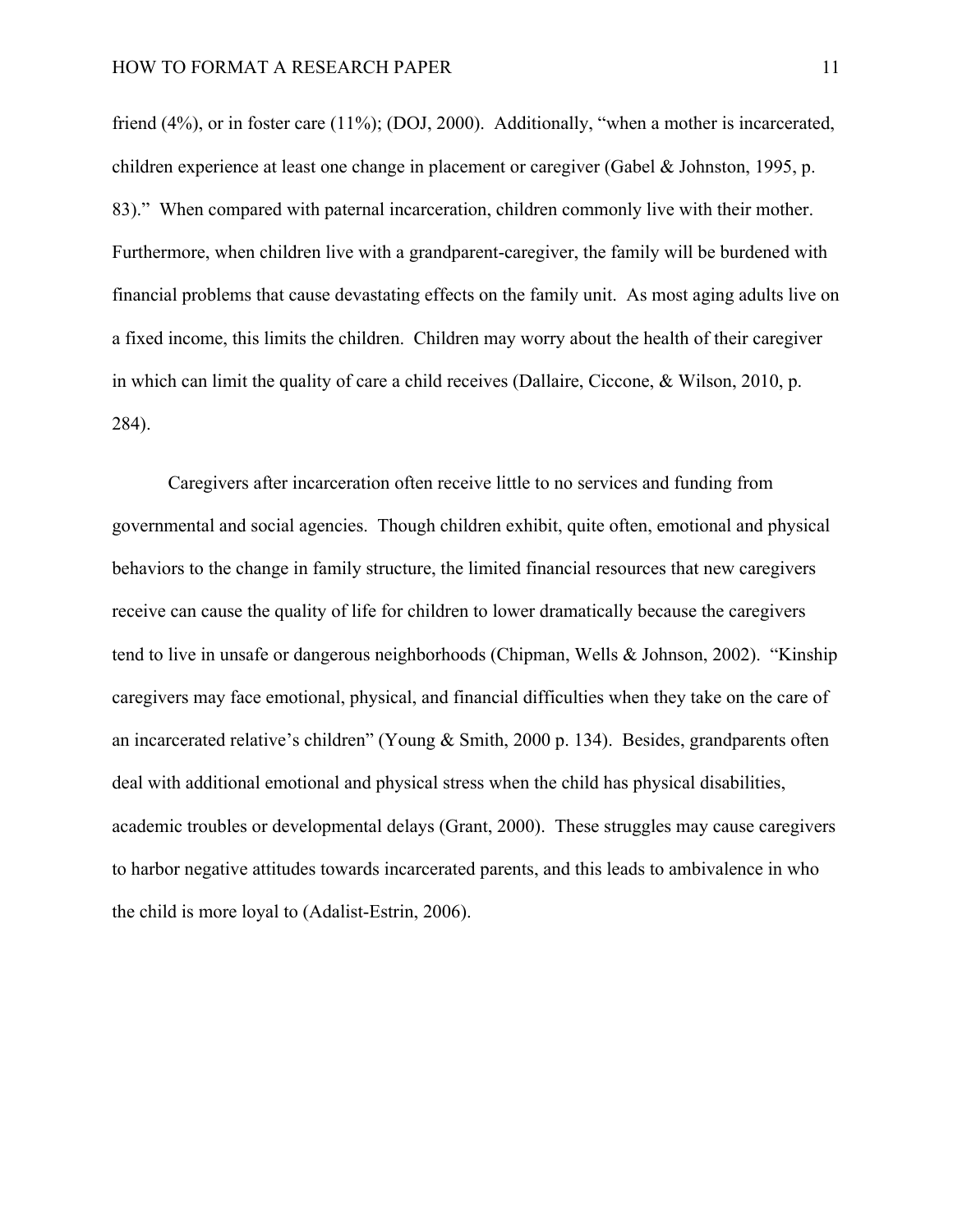friend (4%), or in foster care (11%); (DOJ, 2000). Additionally, "when a mother is incarcerated, children experience at least one change in placement or caregiver (Gabel & Johnston, 1995, p. 83)." When compared with paternal incarceration, children commonly live with their mother. Furthermore, when children live with a grandparent-caregiver, the family will be burdened with financial problems that cause devastating effects on the family unit. As most aging adults live on a fixed income, this limits the children. Children may worry about the health of their caregiver in which can limit the quality of care a child receives (Dallaire, Ciccone, & Wilson, 2010, p. 284).

Caregivers after incarceration often receive little to no services and funding from governmental and social agencies. Though children exhibit, quite often, emotional and physical behaviors to the change in family structure, the limited financial resources that new caregivers receive can cause the quality of life for children to lower dramatically because the caregivers tend to live in unsafe or dangerous neighborhoods (Chipman, Wells & Johnson, 2002). "Kinship caregivers may face emotional, physical, and financial difficulties when they take on the care of an incarcerated relative's children" (Young & Smith, 2000 p. 134). Besides, grandparents often deal with additional emotional and physical stress when the child has physical disabilities, academic troubles or developmental delays (Grant, 2000). These struggles may cause caregivers to harbor negative attitudes towards incarcerated parents, and this leads to ambivalence in who the child is more loyal to (Adalist-Estrin, 2006).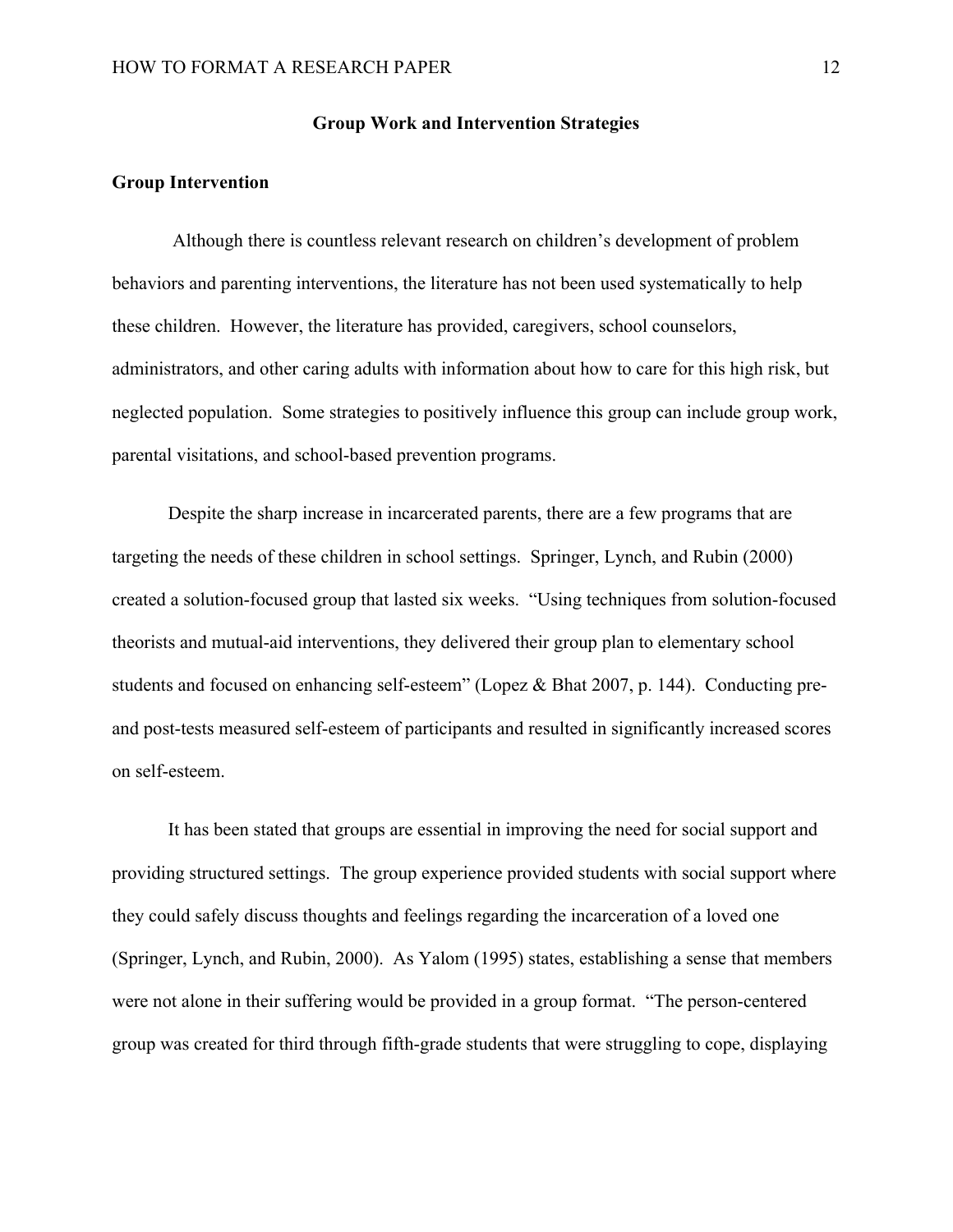#### **Group Work and Intervention Strategies**

#### **Group Intervention**

Although there is countless relevant research on children's development of problem behaviors and parenting interventions, the literature has not been used systematically to help these children. However, the literature has provided, caregivers, school counselors, administrators, and other caring adults with information about how to care for this high risk, but neglected population. Some strategies to positively influence this group can include group work, parental visitations, and school-based prevention programs.

Despite the sharp increase in incarcerated parents, there are a few programs that are targeting the needs of these children in school settings. Springer, Lynch, and Rubin (2000) created a solution-focused group that lasted six weeks. "Using techniques from solution-focused theorists and mutual-aid interventions, they delivered their group plan to elementary school students and focused on enhancing self-esteem" (Lopez & Bhat 2007, p. 144). Conducting preand post-tests measured self-esteem of participants and resulted in significantly increased scores on self-esteem.

It has been stated that groups are essential in improving the need for social support and providing structured settings. The group experience provided students with social support where they could safely discuss thoughts and feelings regarding the incarceration of a loved one (Springer, Lynch, and Rubin, 2000). As Yalom (1995) states, establishing a sense that members were not alone in their suffering would be provided in a group format. "The person-centered group was created for third through fifth-grade students that were struggling to cope, displaying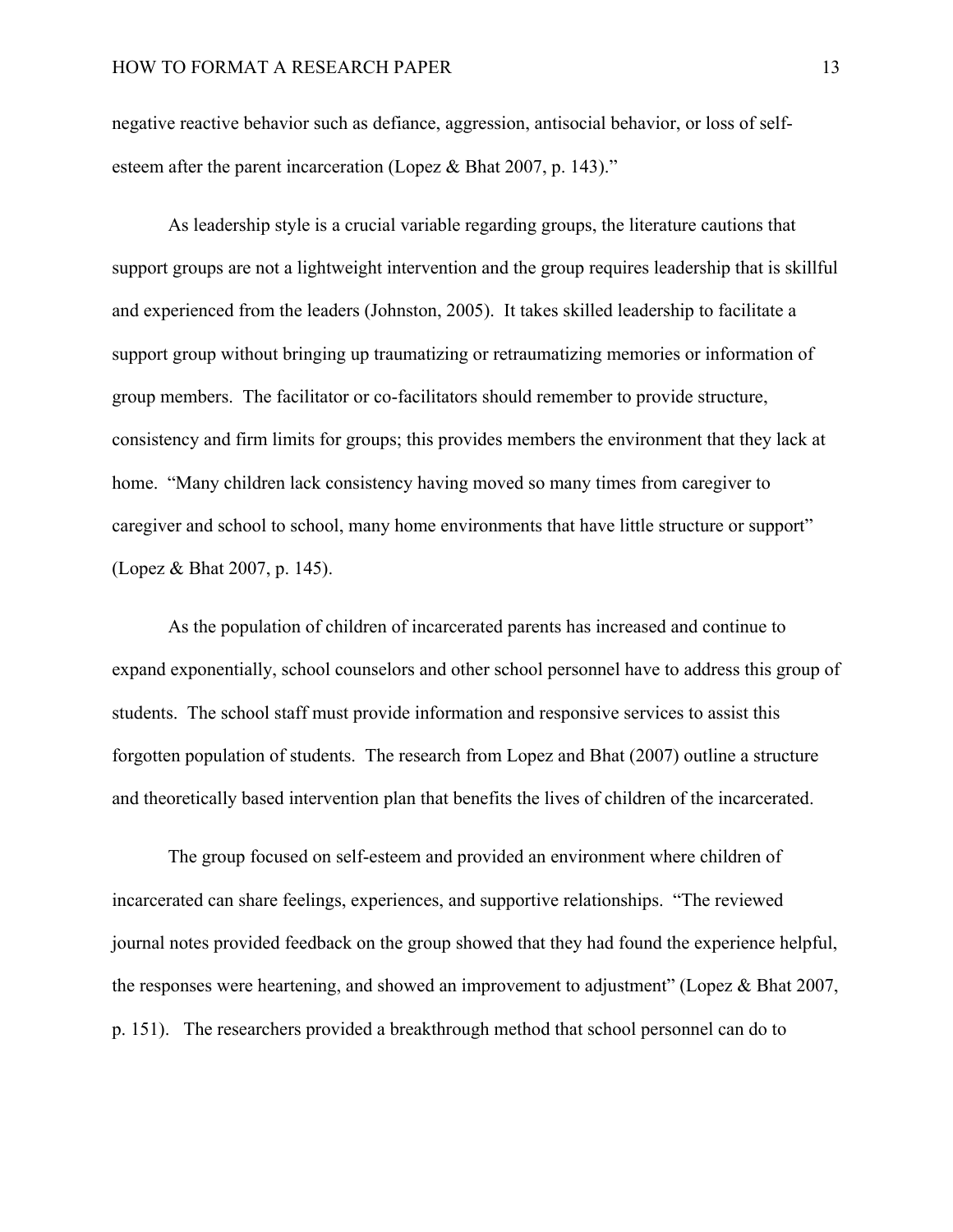negative reactive behavior such as defiance, aggression, antisocial behavior, or loss of selfesteem after the parent incarceration (Lopez & Bhat 2007, p. 143)."

As leadership style is a crucial variable regarding groups, the literature cautions that support groups are not a lightweight intervention and the group requires leadership that is skillful and experienced from the leaders (Johnston, 2005). It takes skilled leadership to facilitate a support group without bringing up traumatizing or retraumatizing memories or information of group members. The facilitator or co-facilitators should remember to provide structure, consistency and firm limits for groups; this provides members the environment that they lack at home. "Many children lack consistency having moved so many times from caregiver to caregiver and school to school, many home environments that have little structure or support" (Lopez & Bhat 2007, p. 145).

As the population of children of incarcerated parents has increased and continue to expand exponentially, school counselors and other school personnel have to address this group of students. The school staff must provide information and responsive services to assist this forgotten population of students. The research from Lopez and Bhat (2007) outline a structure and theoretically based intervention plan that benefits the lives of children of the incarcerated.

The group focused on self-esteem and provided an environment where children of incarcerated can share feelings, experiences, and supportive relationships. "The reviewed journal notes provided feedback on the group showed that they had found the experience helpful, the responses were heartening, and showed an improvement to adjustment" (Lopez & Bhat 2007, p. 151). The researchers provided a breakthrough method that school personnel can do to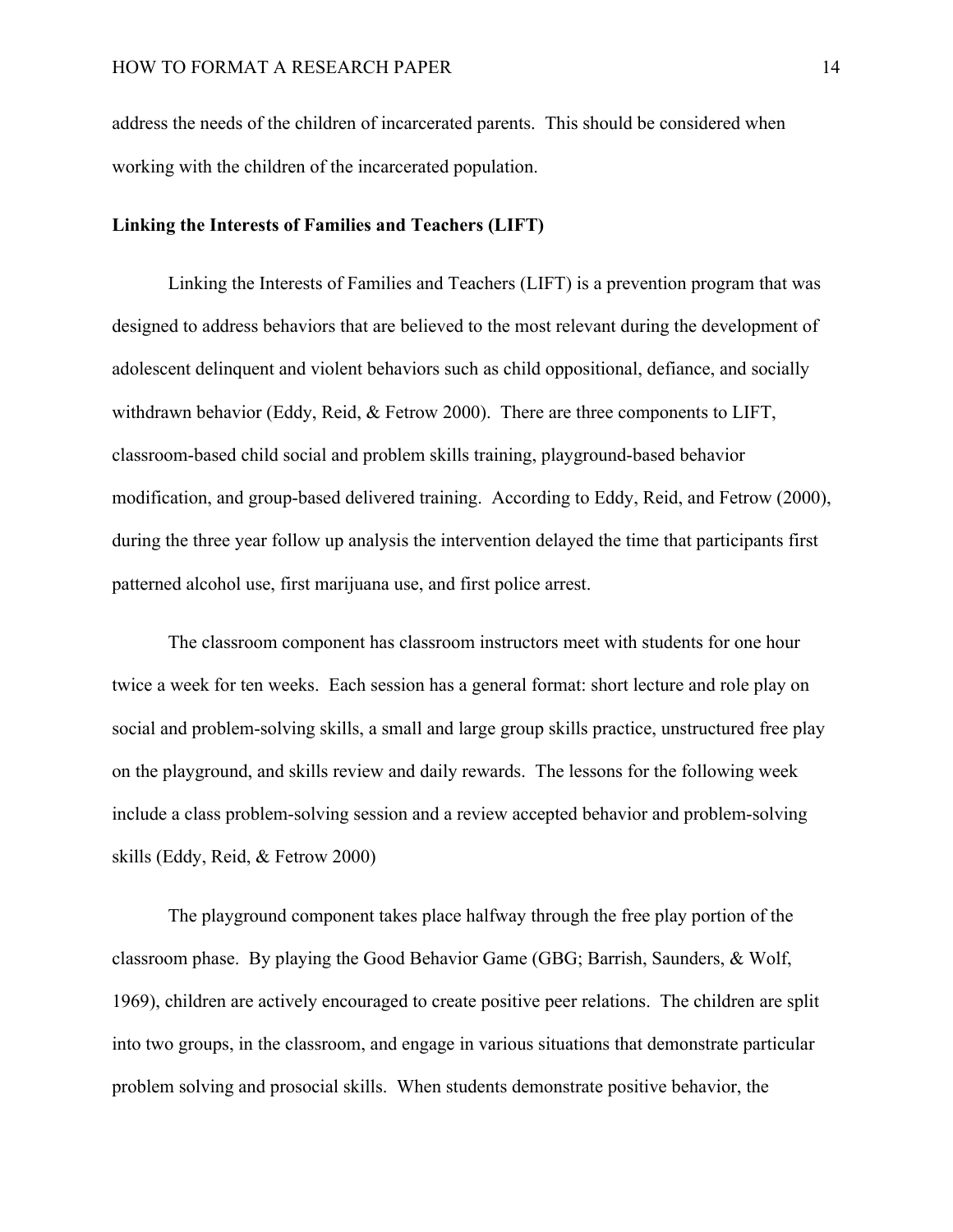address the needs of the children of incarcerated parents. This should be considered when working with the children of the incarcerated population.

#### **Linking the Interests of Families and Teachers (LIFT)**

Linking the Interests of Families and Teachers (LIFT) is a prevention program that was designed to address behaviors that are believed to the most relevant during the development of adolescent delinquent and violent behaviors such as child oppositional, defiance, and socially withdrawn behavior (Eddy, Reid, & Fetrow 2000). There are three components to LIFT, classroom-based child social and problem skills training, playground-based behavior modification, and group-based delivered training. According to Eddy, Reid, and Fetrow (2000), during the three year follow up analysis the intervention delayed the time that participants first patterned alcohol use, first marijuana use, and first police arrest.

The classroom component has classroom instructors meet with students for one hour twice a week for ten weeks. Each session has a general format: short lecture and role play on social and problem-solving skills, a small and large group skills practice, unstructured free play on the playground, and skills review and daily rewards. The lessons for the following week include a class problem-solving session and a review accepted behavior and problem-solving skills (Eddy, Reid, & Fetrow 2000)

The playground component takes place halfway through the free play portion of the classroom phase. By playing the Good Behavior Game (GBG; Barrish, Saunders, & Wolf, 1969), children are actively encouraged to create positive peer relations. The children are split into two groups, in the classroom, and engage in various situations that demonstrate particular problem solving and prosocial skills. When students demonstrate positive behavior, the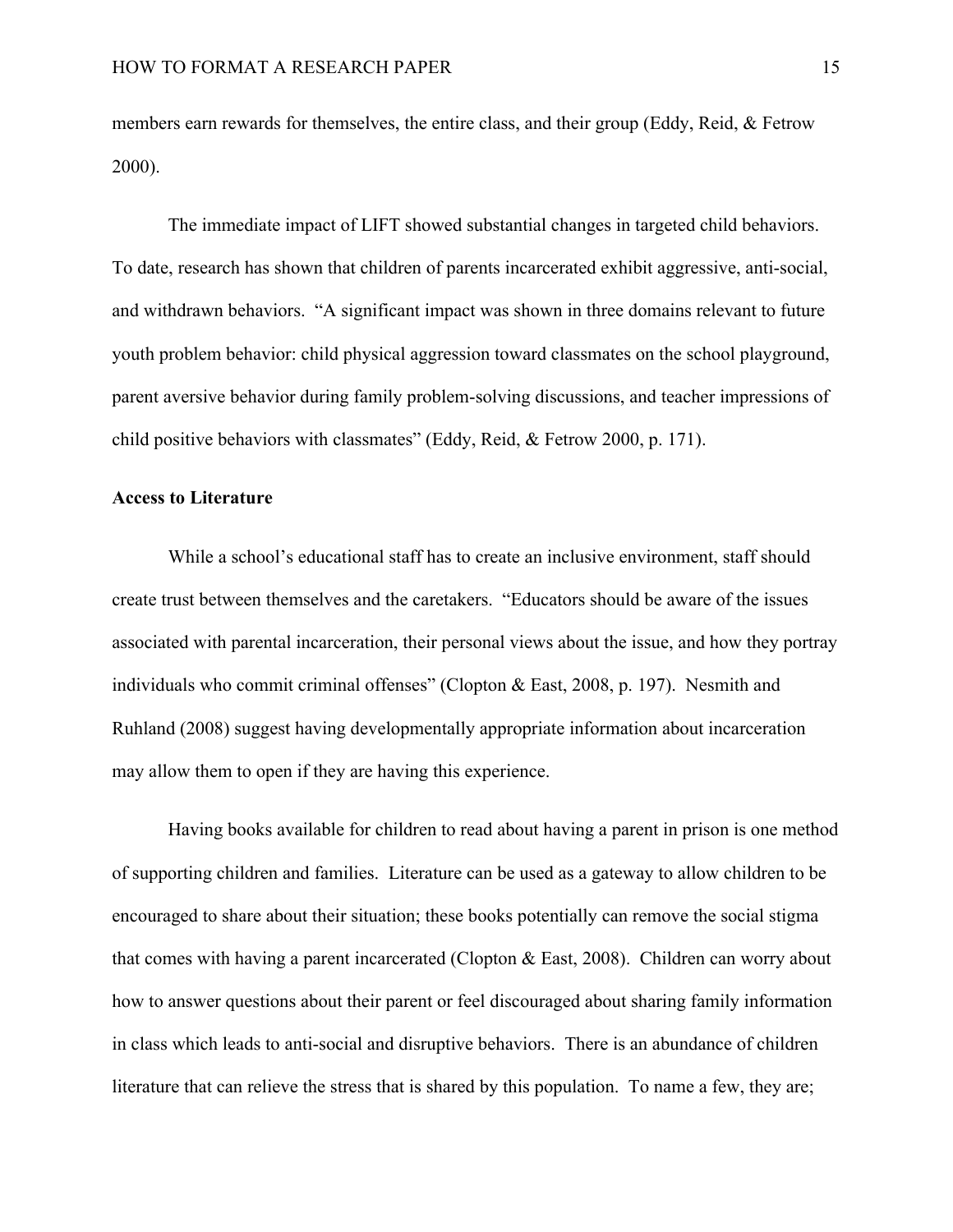members earn rewards for themselves, the entire class, and their group (Eddy, Reid, & Fetrow 2000).

The immediate impact of LIFT showed substantial changes in targeted child behaviors. To date, research has shown that children of parents incarcerated exhibit aggressive, anti-social, and withdrawn behaviors. "A significant impact was shown in three domains relevant to future youth problem behavior: child physical aggression toward classmates on the school playground, parent aversive behavior during family problem-solving discussions, and teacher impressions of child positive behaviors with classmates" (Eddy, Reid, & Fetrow 2000, p. 171).

## **Access to Literature**

While a school's educational staff has to create an inclusive environment, staff should create trust between themselves and the caretakers. "Educators should be aware of the issues associated with parental incarceration, their personal views about the issue, and how they portray individuals who commit criminal offenses" (Clopton & East, 2008, p. 197). Nesmith and Ruhland (2008) suggest having developmentally appropriate information about incarceration may allow them to open if they are having this experience.

Having books available for children to read about having a parent in prison is one method of supporting children and families. Literature can be used as a gateway to allow children to be encouraged to share about their situation; these books potentially can remove the social stigma that comes with having a parent incarcerated (Clopton & East, 2008). Children can worry about how to answer questions about their parent or feel discouraged about sharing family information in class which leads to anti-social and disruptive behaviors. There is an abundance of children literature that can relieve the stress that is shared by this population. To name a few, they are;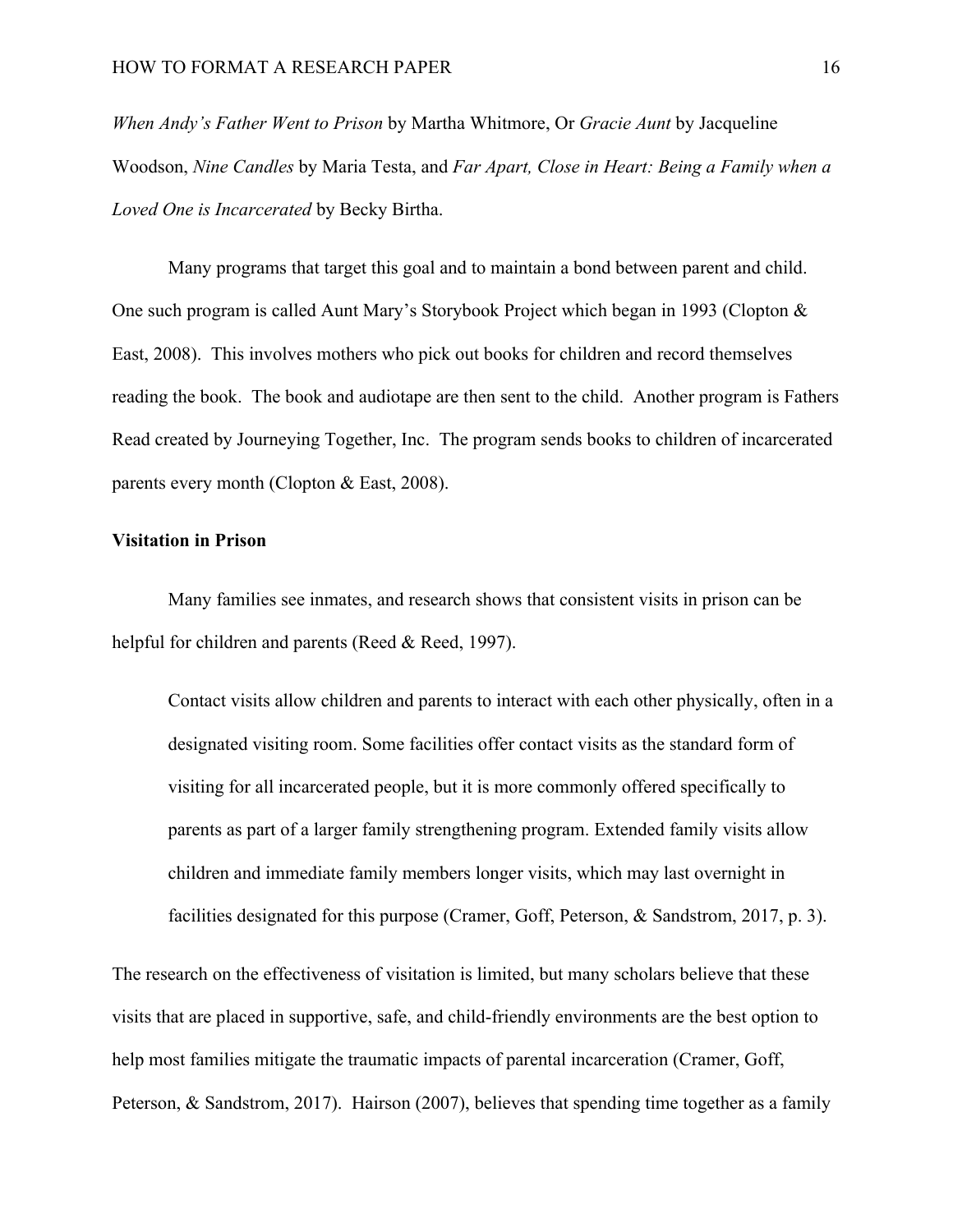*When Andy's Father Went to Prison* by Martha Whitmore, Or *Gracie Aunt* by Jacqueline Woodson, *Nine Candles* by Maria Testa, and *Far Apart, Close in Heart: Being a Family when a Loved One is Incarcerated* by Becky Birtha.

Many programs that target this goal and to maintain a bond between parent and child. One such program is called Aunt Mary's Storybook Project which began in 1993 (Clopton & East, 2008). This involves mothers who pick out books for children and record themselves reading the book. The book and audiotape are then sent to the child. Another program is Fathers Read created by Journeying Together, Inc. The program sends books to children of incarcerated parents every month (Clopton & East, 2008).

#### **Visitation in Prison**

Many families see inmates, and research shows that consistent visits in prison can be helpful for children and parents (Reed & Reed, 1997).

Contact visits allow children and parents to interact with each other physically, often in a designated visiting room. Some facilities offer contact visits as the standard form of visiting for all incarcerated people, but it is more commonly offered specifically to parents as part of a larger family strengthening program. Extended family visits allow children and immediate family members longer visits, which may last overnight in facilities designated for this purpose (Cramer, Goff, Peterson, & Sandstrom, 2017, p. 3).

The research on the effectiveness of visitation is limited, but many scholars believe that these visits that are placed in supportive, safe, and child-friendly environments are the best option to help most families mitigate the traumatic impacts of parental incarceration (Cramer, Goff, Peterson, & Sandstrom, 2017). Hairson (2007), believes that spending time together as a family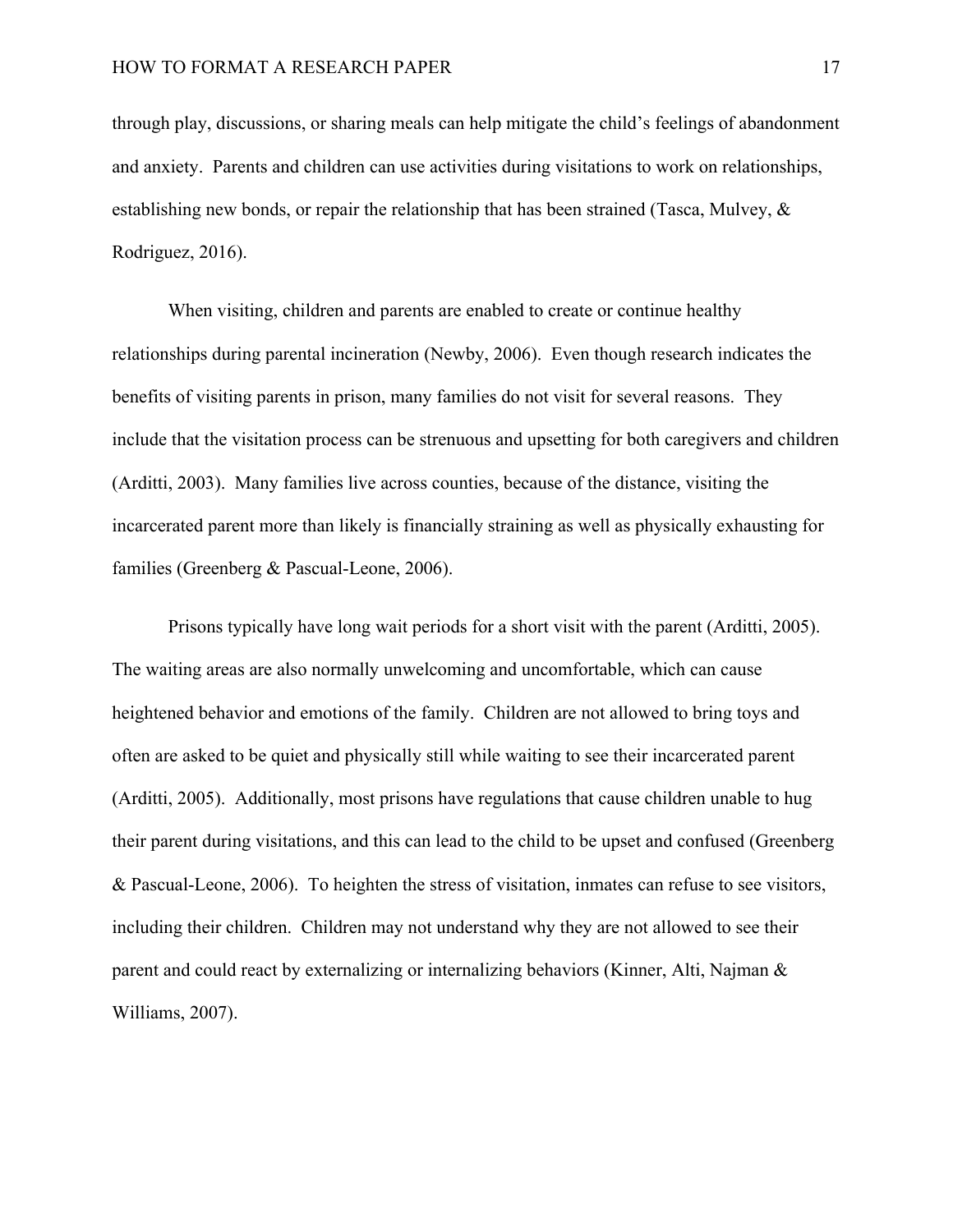through play, discussions, or sharing meals can help mitigate the child's feelings of abandonment and anxiety. Parents and children can use activities during visitations to work on relationships, establishing new bonds, or repair the relationship that has been strained (Tasca, Mulvey, & Rodriguez, 2016).

When visiting, children and parents are enabled to create or continue healthy relationships during parental incineration (Newby, 2006). Even though research indicates the benefits of visiting parents in prison, many families do not visit for several reasons. They include that the visitation process can be strenuous and upsetting for both caregivers and children (Arditti, 2003). Many families live across counties, because of the distance, visiting the incarcerated parent more than likely is financially straining as well as physically exhausting for families (Greenberg & Pascual-Leone, 2006).

Prisons typically have long wait periods for a short visit with the parent (Arditti, 2005). The waiting areas are also normally unwelcoming and uncomfortable, which can cause heightened behavior and emotions of the family. Children are not allowed to bring toys and often are asked to be quiet and physically still while waiting to see their incarcerated parent (Arditti, 2005). Additionally, most prisons have regulations that cause children unable to hug their parent during visitations, and this can lead to the child to be upset and confused (Greenberg & Pascual-Leone, 2006). To heighten the stress of visitation, inmates can refuse to see visitors, including their children. Children may not understand why they are not allowed to see their parent and could react by externalizing or internalizing behaviors (Kinner, Alti, Najman & Williams, 2007).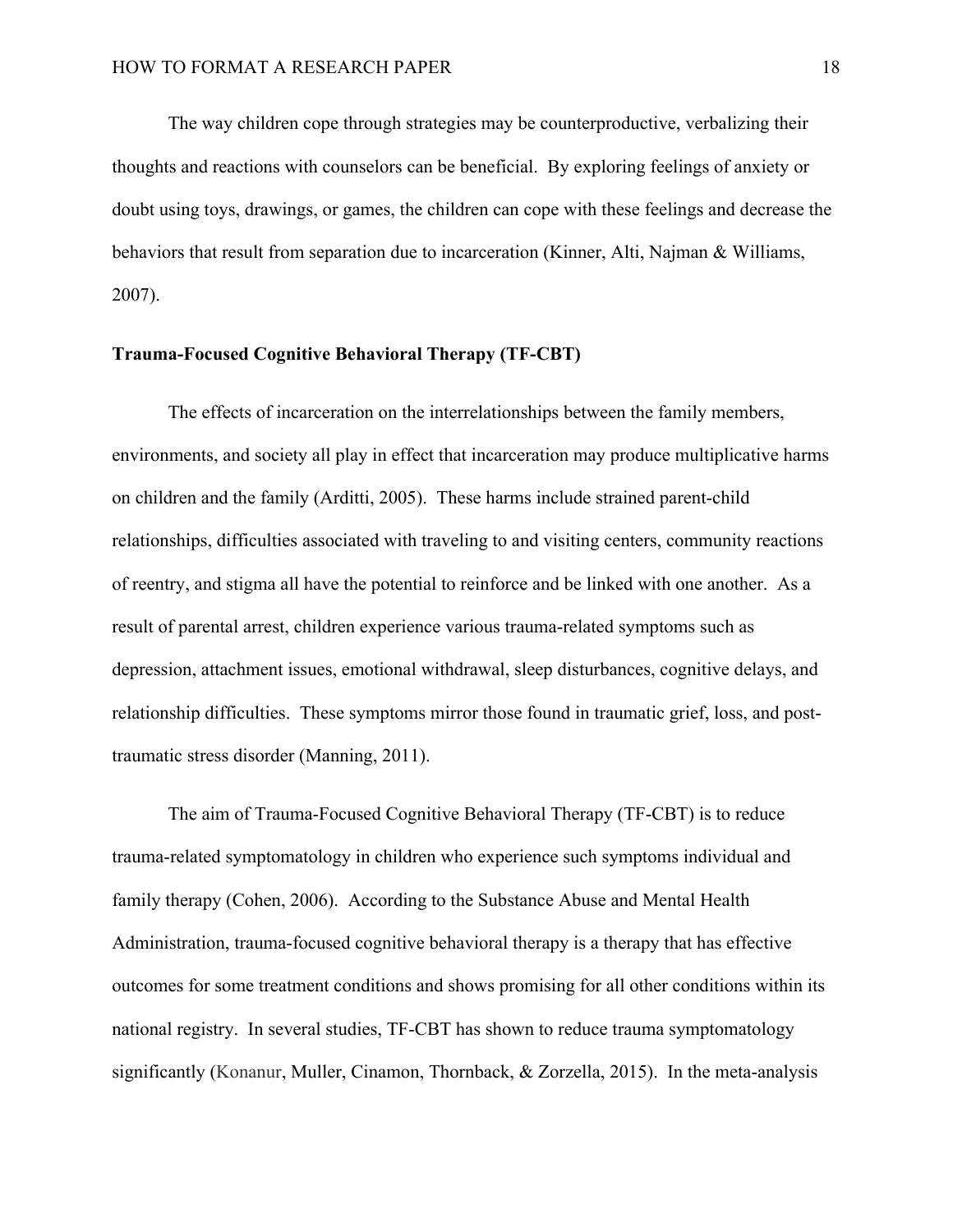The way children cope through strategies may be counterproductive, verbalizing their thoughts and reactions with counselors can be beneficial. By exploring feelings of anxiety or doubt using toys, drawings, or games, the children can cope with these feelings and decrease the behaviors that result from separation due to incarceration (Kinner, Alti, Najman & Williams, 2007).

#### **Trauma-Focused Cognitive Behavioral Therapy (TF-CBT)**

The effects of incarceration on the interrelationships between the family members, environments, and society all play in effect that incarceration may produce multiplicative harms on children and the family (Arditti, 2005). These harms include strained parent-child relationships, difficulties associated with traveling to and visiting centers, community reactions of reentry, and stigma all have the potential to reinforce and be linked with one another. As a result of parental arrest, children experience various trauma-related symptoms such as depression, attachment issues, emotional withdrawal, sleep disturbances, cognitive delays, and relationship difficulties. These symptoms mirror those found in traumatic grief, loss, and posttraumatic stress disorder (Manning, 2011).

The aim of Trauma-Focused Cognitive Behavioral Therapy (TF-CBT) is to reduce trauma-related symptomatology in children who experience such symptoms individual and family therapy (Cohen, 2006). According to the Substance Abuse and Mental Health Administration, trauma-focused cognitive behavioral therapy is a therapy that has effective outcomes for some treatment conditions and shows promising for all other conditions within its national registry. In several studies, TF-CBT has shown to reduce trauma symptomatology significantly (Konanur, Muller, Cinamon, Thornback, & Zorzella, 2015). In the meta-analysis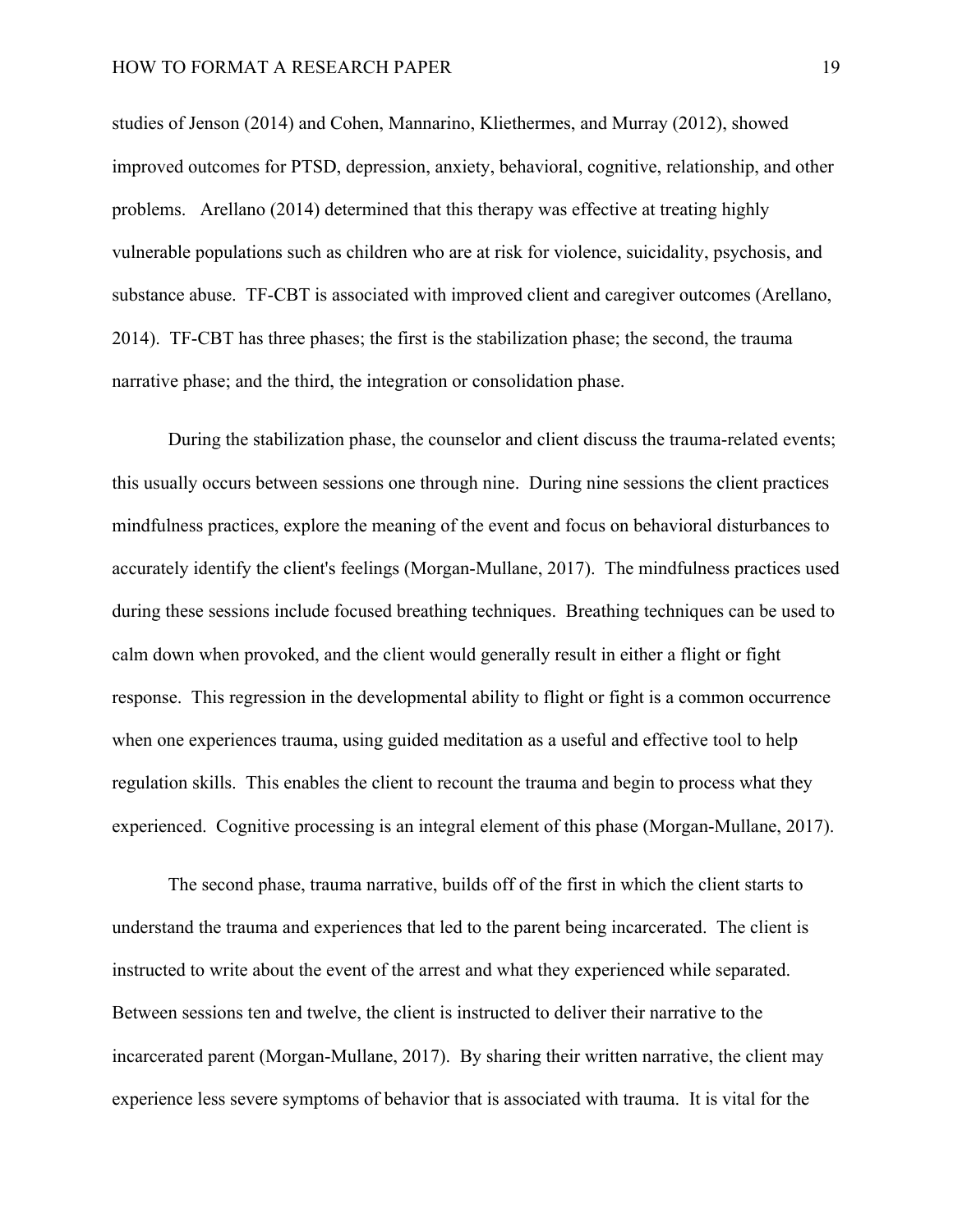studies of Jenson (2014) and Cohen, Mannarino, Kliethermes, and Murray (2012), showed improved outcomes for PTSD, depression, anxiety, behavioral, cognitive, relationship, and other problems. Arellano (2014) determined that this therapy was effective at treating highly vulnerable populations such as children who are at risk for violence, suicidality, psychosis, and substance abuse. TF-CBT is associated with improved client and caregiver outcomes (Arellano, 2014). TF-CBT has three phases; the first is the stabilization phase; the second, the trauma narrative phase; and the third, the integration or consolidation phase.

During the stabilization phase, the counselor and client discuss the trauma-related events; this usually occurs between sessions one through nine. During nine sessions the client practices mindfulness practices, explore the meaning of the event and focus on behavioral disturbances to accurately identify the client's feelings (Morgan-Mullane, 2017). The mindfulness practices used during these sessions include focused breathing techniques. Breathing techniques can be used to calm down when provoked, and the client would generally result in either a flight or fight response. This regression in the developmental ability to flight or fight is a common occurrence when one experiences trauma, using guided meditation as a useful and effective tool to help regulation skills. This enables the client to recount the trauma and begin to process what they experienced. Cognitive processing is an integral element of this phase (Morgan-Mullane, 2017).

The second phase, trauma narrative, builds off of the first in which the client starts to understand the trauma and experiences that led to the parent being incarcerated. The client is instructed to write about the event of the arrest and what they experienced while separated. Between sessions ten and twelve, the client is instructed to deliver their narrative to the incarcerated parent (Morgan-Mullane, 2017). By sharing their written narrative, the client may experience less severe symptoms of behavior that is associated with trauma. It is vital for the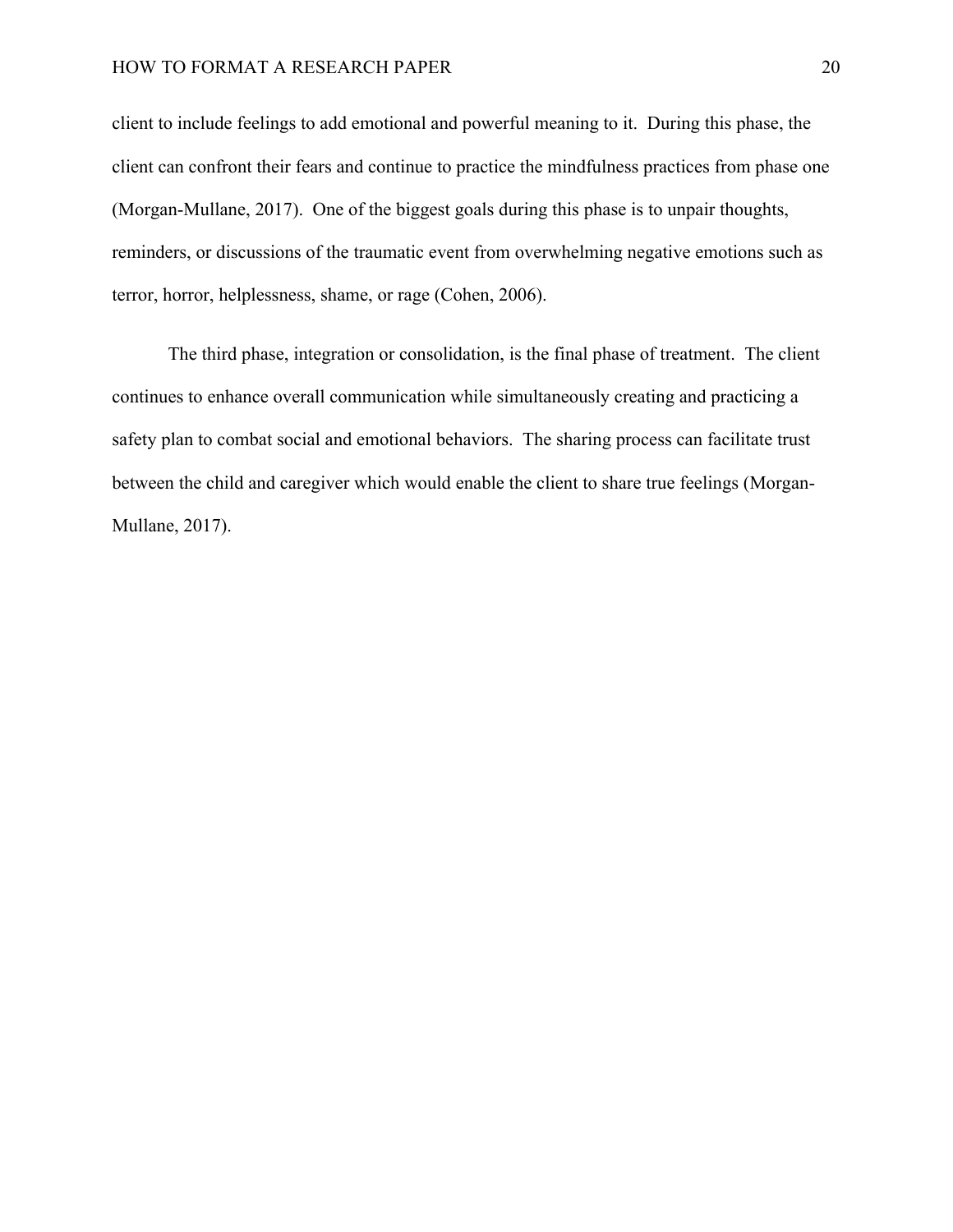client to include feelings to add emotional and powerful meaning to it. During this phase, the client can confront their fears and continue to practice the mindfulness practices from phase one (Morgan-Mullane, 2017). One of the biggest goals during this phase is to unpair thoughts, reminders, or discussions of the traumatic event from overwhelming negative emotions such as terror, horror, helplessness, shame, or rage (Cohen, 2006).

The third phase, integration or consolidation, is the final phase of treatment. The client continues to enhance overall communication while simultaneously creating and practicing a safety plan to combat social and emotional behaviors. The sharing process can facilitate trust between the child and caregiver which would enable the client to share true feelings (Morgan-Mullane, 2017).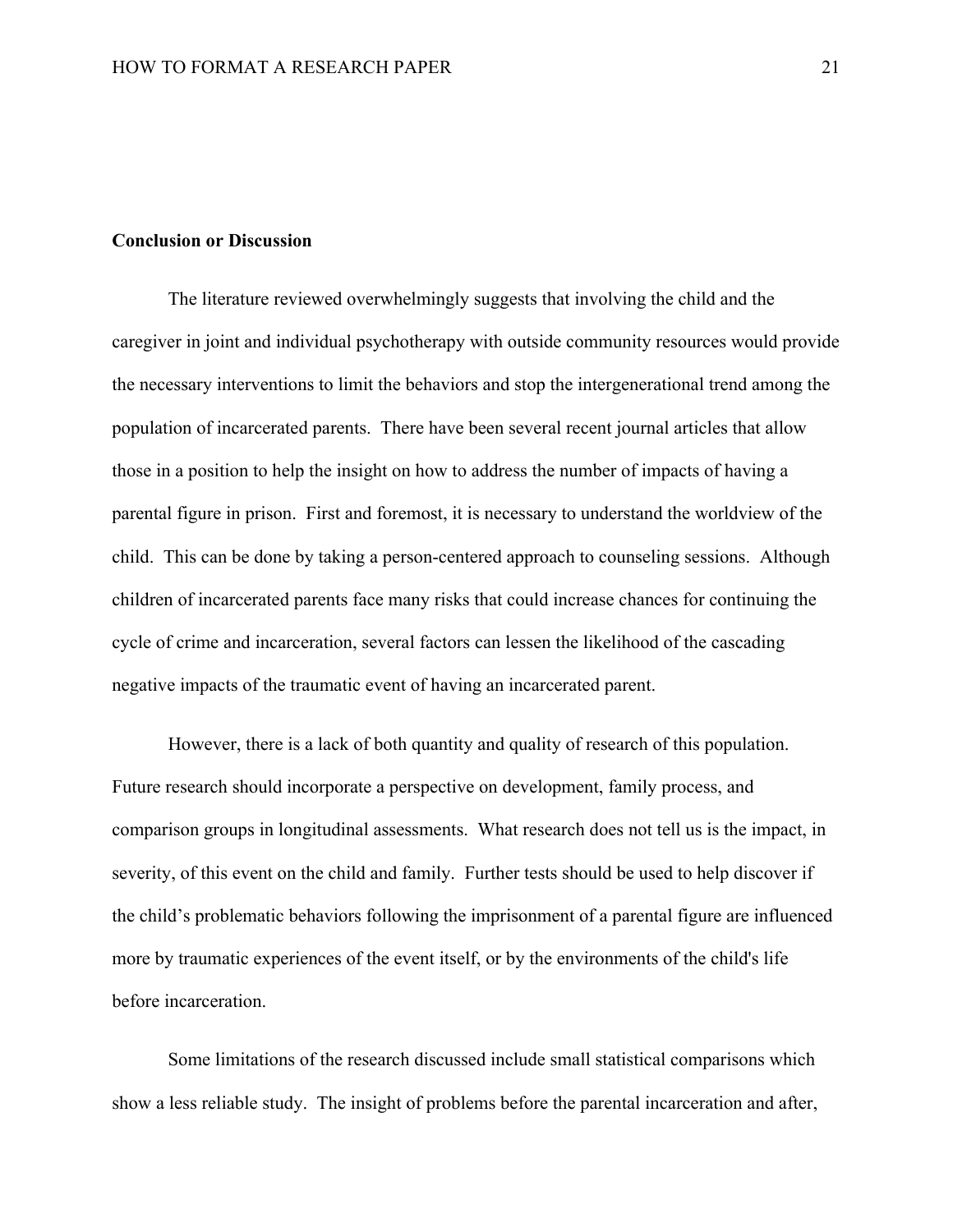## **Conclusion or Discussion**

The literature reviewed overwhelmingly suggests that involving the child and the caregiver in joint and individual psychotherapy with outside community resources would provide the necessary interventions to limit the behaviors and stop the intergenerational trend among the population of incarcerated parents. There have been several recent journal articles that allow those in a position to help the insight on how to address the number of impacts of having a parental figure in prison. First and foremost, it is necessary to understand the worldview of the child. This can be done by taking a person-centered approach to counseling sessions. Although children of incarcerated parents face many risks that could increase chances for continuing the cycle of crime and incarceration, several factors can lessen the likelihood of the cascading negative impacts of the traumatic event of having an incarcerated parent.

However, there is a lack of both quantity and quality of research of this population. Future research should incorporate a perspective on development, family process, and comparison groups in longitudinal assessments. What research does not tell us is the impact, in severity, of this event on the child and family. Further tests should be used to help discover if the child's problematic behaviors following the imprisonment of a parental figure are influenced more by traumatic experiences of the event itself, or by the environments of the child's life before incarceration.

Some limitations of the research discussed include small statistical comparisons which show a less reliable study. The insight of problems before the parental incarceration and after,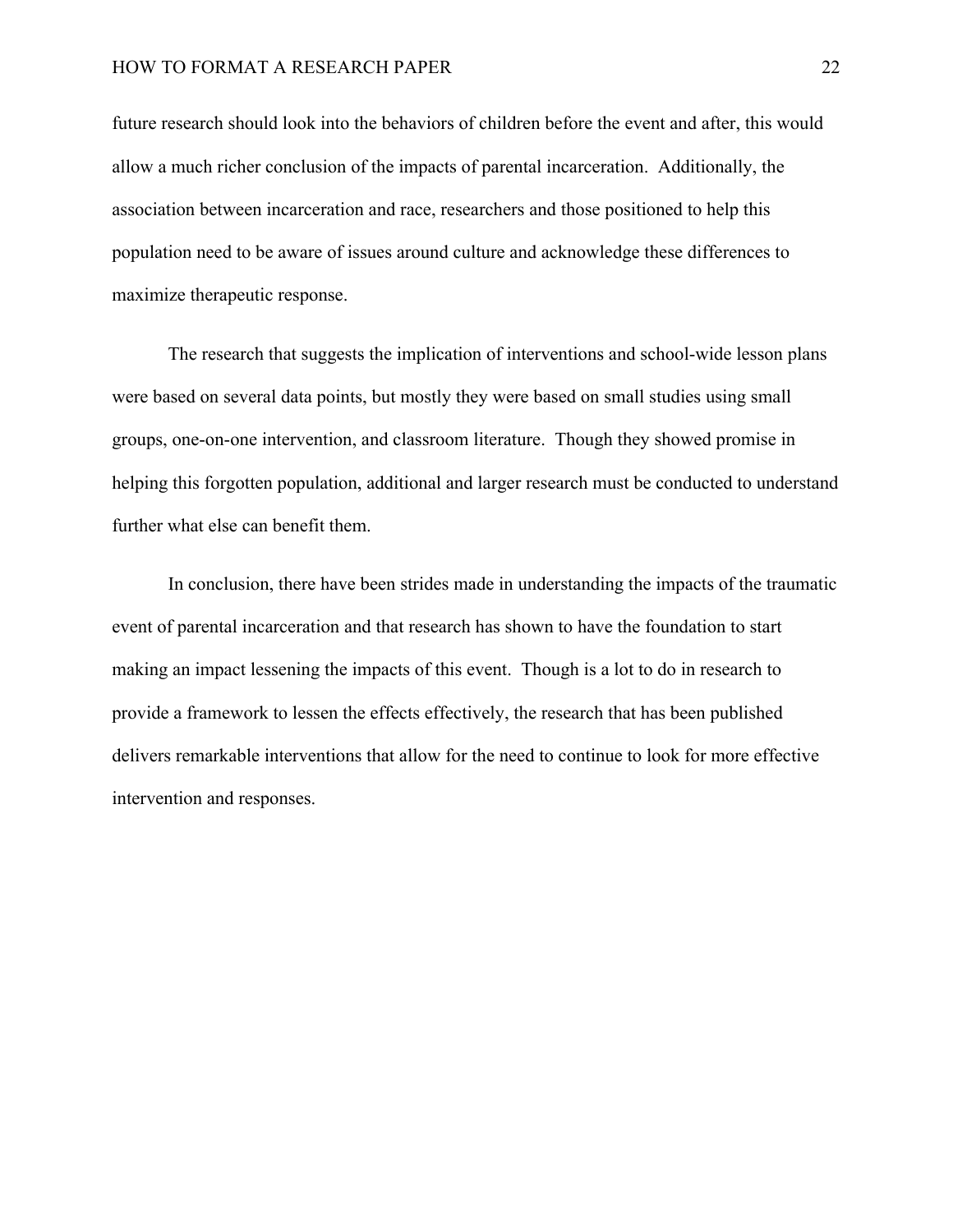future research should look into the behaviors of children before the event and after, this would allow a much richer conclusion of the impacts of parental incarceration. Additionally, the association between incarceration and race, researchers and those positioned to help this population need to be aware of issues around culture and acknowledge these differences to maximize therapeutic response.

The research that suggests the implication of interventions and school-wide lesson plans were based on several data points, but mostly they were based on small studies using small groups, one-on-one intervention, and classroom literature. Though they showed promise in helping this forgotten population, additional and larger research must be conducted to understand further what else can benefit them.

In conclusion, there have been strides made in understanding the impacts of the traumatic event of parental incarceration and that research has shown to have the foundation to start making an impact lessening the impacts of this event. Though is a lot to do in research to provide a framework to lessen the effects effectively, the research that has been published delivers remarkable interventions that allow for the need to continue to look for more effective intervention and responses.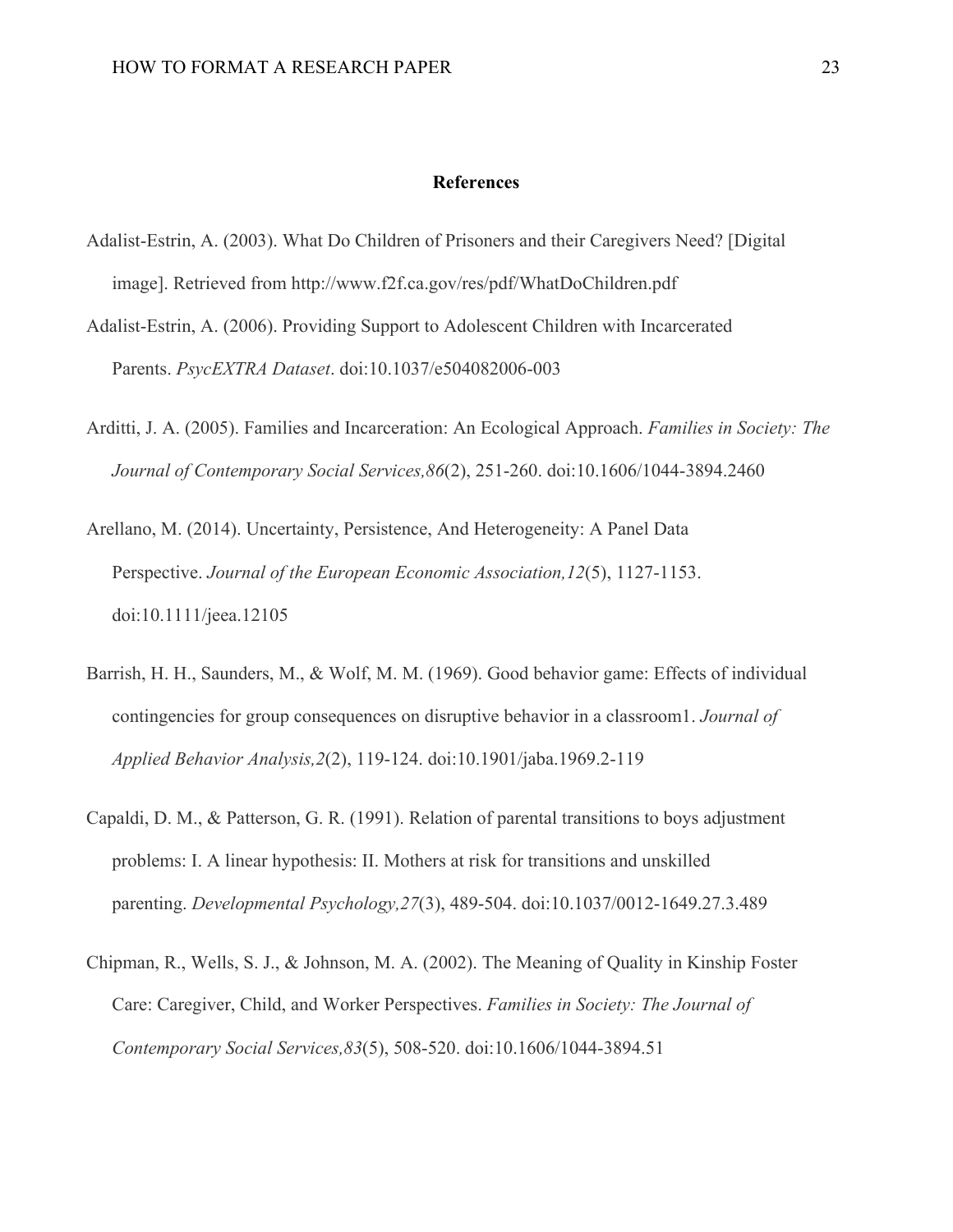#### **References**

- Adalist-Estrin, A. (2003). What Do Children of Prisoners and their Caregivers Need? [Digital image]. Retrieved from http://www.f2f.ca.gov/res/pdf/WhatDoChildren.pdf
- Adalist-Estrin, A. (2006). Providing Support to Adolescent Children with Incarcerated Parents. *PsycEXTRA Dataset*. doi:10.1037/e504082006-003
- Arditti, J. A. (2005). Families and Incarceration: An Ecological Approach. *Families in Society: The Journal of Contemporary Social Services,86*(2), 251-260. doi:10.1606/1044-3894.2460
- Arellano, M. (2014). Uncertainty, Persistence, And Heterogeneity: A Panel Data Perspective. *Journal of the European Economic Association,12*(5), 1127-1153. doi:10.1111/jeea.12105
- Barrish, H. H., Saunders, M., & Wolf, M. M. (1969). Good behavior game: Effects of individual contingencies for group consequences on disruptive behavior in a classroom1. *Journal of Applied Behavior Analysis,2*(2), 119-124. doi:10.1901/jaba.1969.2-119
- Capaldi, D. M., & Patterson, G. R. (1991). Relation of parental transitions to boys adjustment problems: I. A linear hypothesis: II. Mothers at risk for transitions and unskilled parenting. *Developmental Psychology,27*(3), 489-504. doi:10.1037/0012-1649.27.3.489
- Chipman, R., Wells, S. J., & Johnson, M. A. (2002). The Meaning of Quality in Kinship Foster Care: Caregiver, Child, and Worker Perspectives. *Families in Society: The Journal of Contemporary Social Services,83*(5), 508-520. doi:10.1606/1044-3894.51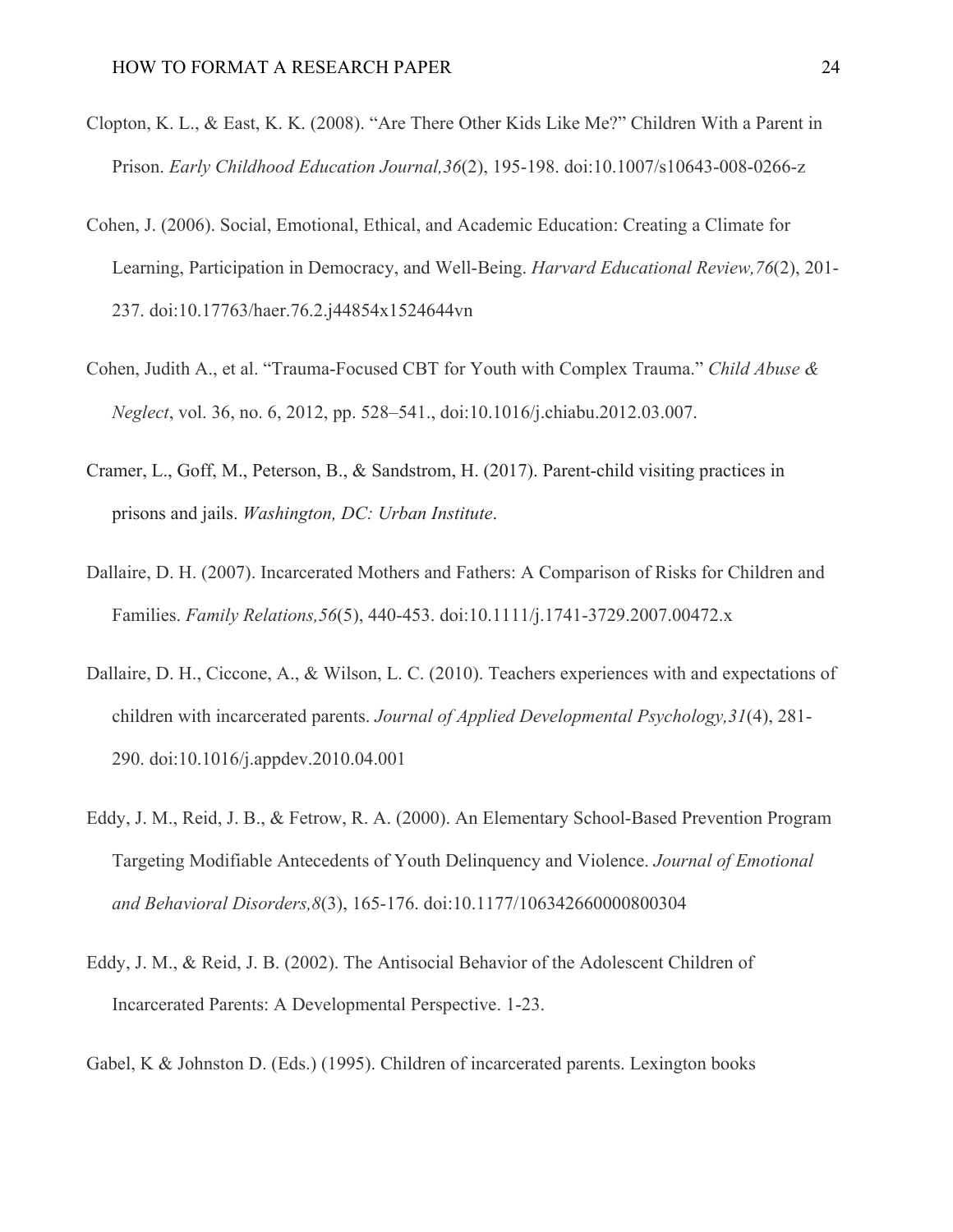- Clopton, K. L., & East, K. K. (2008). "Are There Other Kids Like Me?" Children With a Parent in Prison. *Early Childhood Education Journal,36*(2), 195-198. doi:10.1007/s10643-008-0266-z
- Cohen, J. (2006). Social, Emotional, Ethical, and Academic Education: Creating a Climate for Learning, Participation in Democracy, and Well-Being. *Harvard Educational Review,76*(2), 201- 237. doi:10.17763/haer.76.2.j44854x1524644vn
- Cohen, Judith A., et al. "Trauma-Focused CBT for Youth with Complex Trauma." *Child Abuse & Neglect*, vol. 36, no. 6, 2012, pp. 528–541., doi:10.1016/j.chiabu.2012.03.007.
- Cramer, L., Goff, M., Peterson, B., & Sandstrom, H. (2017). Parent-child visiting practices in prisons and jails. *Washington, DC: Urban Institute*.
- Dallaire, D. H. (2007). Incarcerated Mothers and Fathers: A Comparison of Risks for Children and Families. *Family Relations,56*(5), 440-453. doi:10.1111/j.1741-3729.2007.00472.x
- Dallaire, D. H., Ciccone, A., & Wilson, L. C. (2010). Teachers experiences with and expectations of children with incarcerated parents. *Journal of Applied Developmental Psychology,31*(4), 281- 290. doi:10.1016/j.appdev.2010.04.001
- Eddy, J. M., Reid, J. B., & Fetrow, R. A. (2000). An Elementary School-Based Prevention Program Targeting Modifiable Antecedents of Youth Delinquency and Violence. *Journal of Emotional and Behavioral Disorders,8*(3), 165-176. doi:10.1177/106342660000800304
- Eddy, J. M., & Reid, J. B. (2002). The Antisocial Behavior of the Adolescent Children of Incarcerated Parents: A Developmental Perspective. 1-23.
- Gabel, K & Johnston D. (Eds.) (1995). Children of incarcerated parents. Lexington books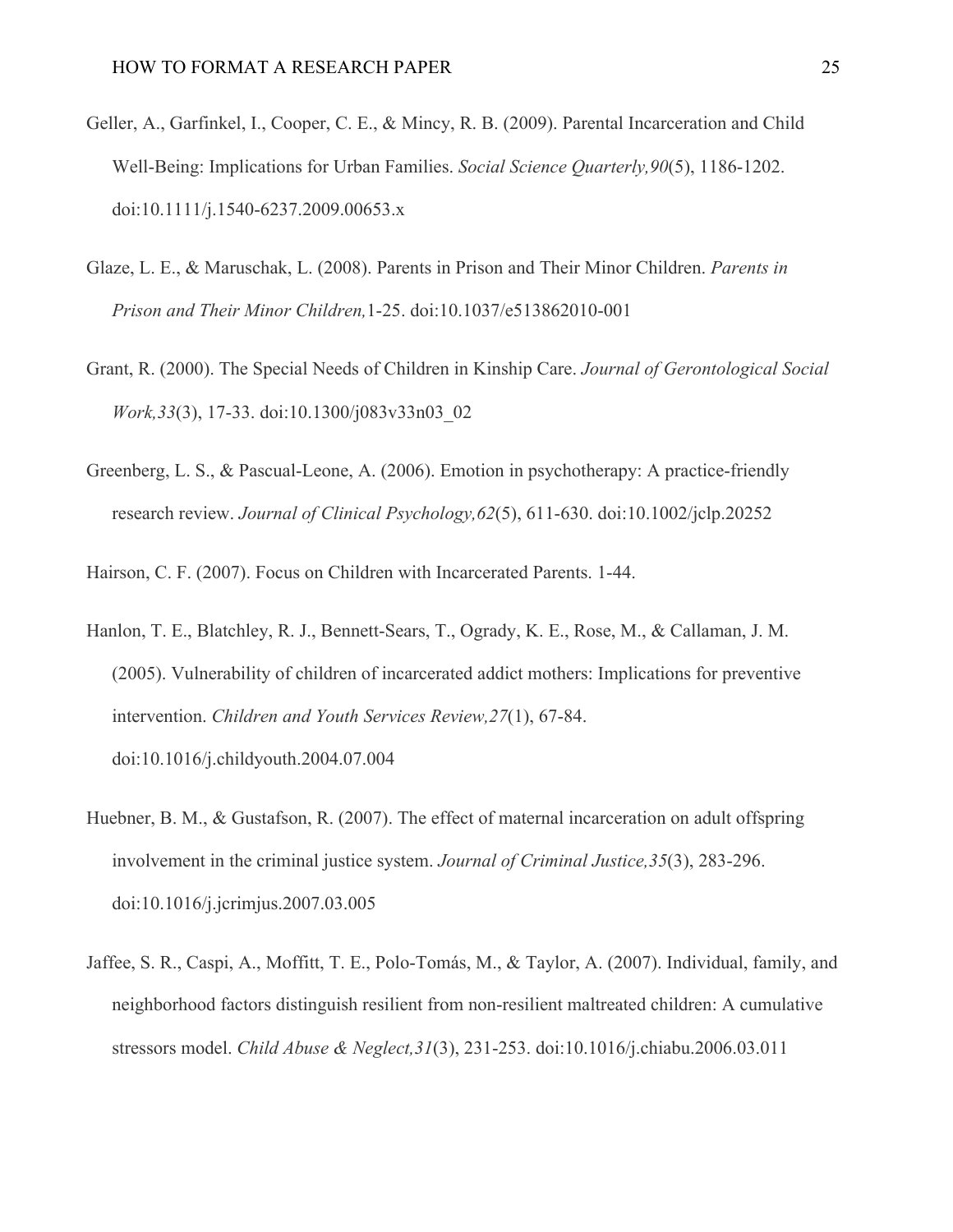- Geller, A., Garfinkel, I., Cooper, C. E., & Mincy, R. B. (2009). Parental Incarceration and Child Well-Being: Implications for Urban Families. *Social Science Quarterly,90*(5), 1186-1202. doi:10.1111/j.1540-6237.2009.00653.x
- Glaze, L. E., & Maruschak, L. (2008). Parents in Prison and Their Minor Children. *Parents in Prison and Their Minor Children,*1-25. doi:10.1037/e513862010-001
- Grant, R. (2000). The Special Needs of Children in Kinship Care. *Journal of Gerontological Social Work,33*(3), 17-33. doi:10.1300/j083v33n03\_02
- Greenberg, L. S., & Pascual-Leone, A. (2006). Emotion in psychotherapy: A practice-friendly research review. *Journal of Clinical Psychology,62*(5), 611-630. doi:10.1002/jclp.20252

Hairson, C. F. (2007). Focus on Children with Incarcerated Parents. 1-44.

- Hanlon, T. E., Blatchley, R. J., Bennett-Sears, T., Ogrady, K. E., Rose, M., & Callaman, J. M. (2005). Vulnerability of children of incarcerated addict mothers: Implications for preventive intervention. *Children and Youth Services Review,27*(1), 67-84. doi:10.1016/j.childyouth.2004.07.004
- Huebner, B. M., & Gustafson, R. (2007). The effect of maternal incarceration on adult offspring involvement in the criminal justice system. *Journal of Criminal Justice,35*(3), 283-296. doi:10.1016/j.jcrimjus.2007.03.005
- Jaffee, S. R., Caspi, A., Moffitt, T. E., Polo-Tomás, M., & Taylor, A. (2007). Individual, family, and neighborhood factors distinguish resilient from non-resilient maltreated children: A cumulative stressors model. *Child Abuse & Neglect,31*(3), 231-253. doi:10.1016/j.chiabu.2006.03.011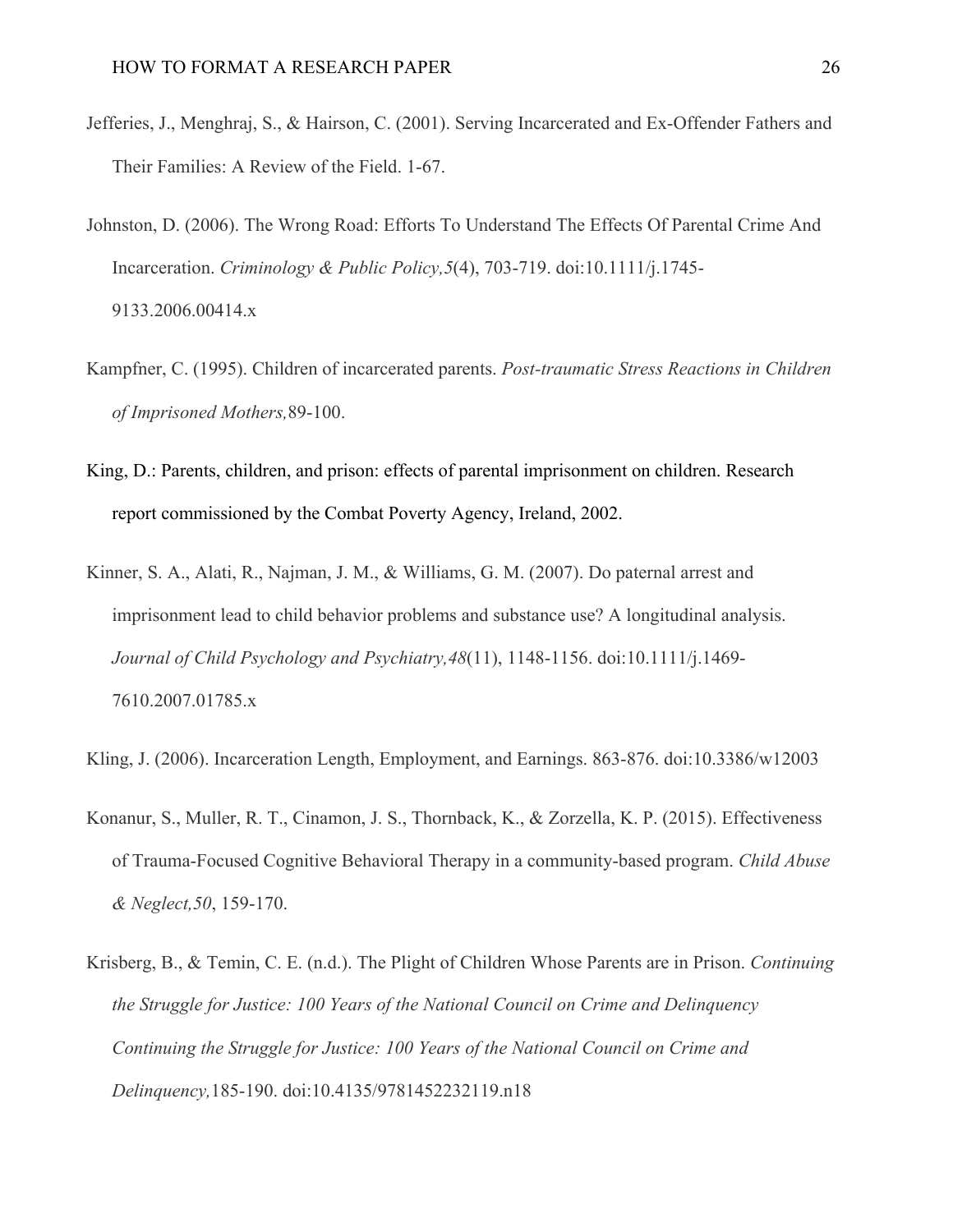- Jefferies, J., Menghraj, S., & Hairson, C. (2001). Serving Incarcerated and Ex-Offender Fathers and Their Families: A Review of the Field. 1-67.
- Johnston, D. (2006). The Wrong Road: Efforts To Understand The Effects Of Parental Crime And Incarceration. *Criminology & Public Policy,5*(4), 703-719. doi:10.1111/j.1745- 9133.2006.00414.x
- Kampfner, C. (1995). Children of incarcerated parents. *Post-traumatic Stress Reactions in Children of Imprisoned Mothers,*89-100.
- King, D.: Parents, children, and prison: effects of parental imprisonment on children. Research report commissioned by the Combat Poverty Agency, Ireland, 2002.
- Kinner, S. A., Alati, R., Najman, J. M., & Williams, G. M. (2007). Do paternal arrest and imprisonment lead to child behavior problems and substance use? A longitudinal analysis. *Journal of Child Psychology and Psychiatry,48*(11), 1148-1156. doi:10.1111/j.1469- 7610.2007.01785.x
- Kling, J. (2006). Incarceration Length, Employment, and Earnings. 863-876. doi:10.3386/w12003
- Konanur, S., Muller, R. T., Cinamon, J. S., Thornback, K., & Zorzella, K. P. (2015). Effectiveness of Trauma-Focused Cognitive Behavioral Therapy in a community-based program. *Child Abuse & Neglect,50*, 159-170.
- Krisberg, B., & Temin, C. E. (n.d.). The Plight of Children Whose Parents are in Prison. *Continuing the Struggle for Justice: 100 Years of the National Council on Crime and Delinquency Continuing the Struggle for Justice: 100 Years of the National Council on Crime and Delinquency,*185-190. doi:10.4135/9781452232119.n18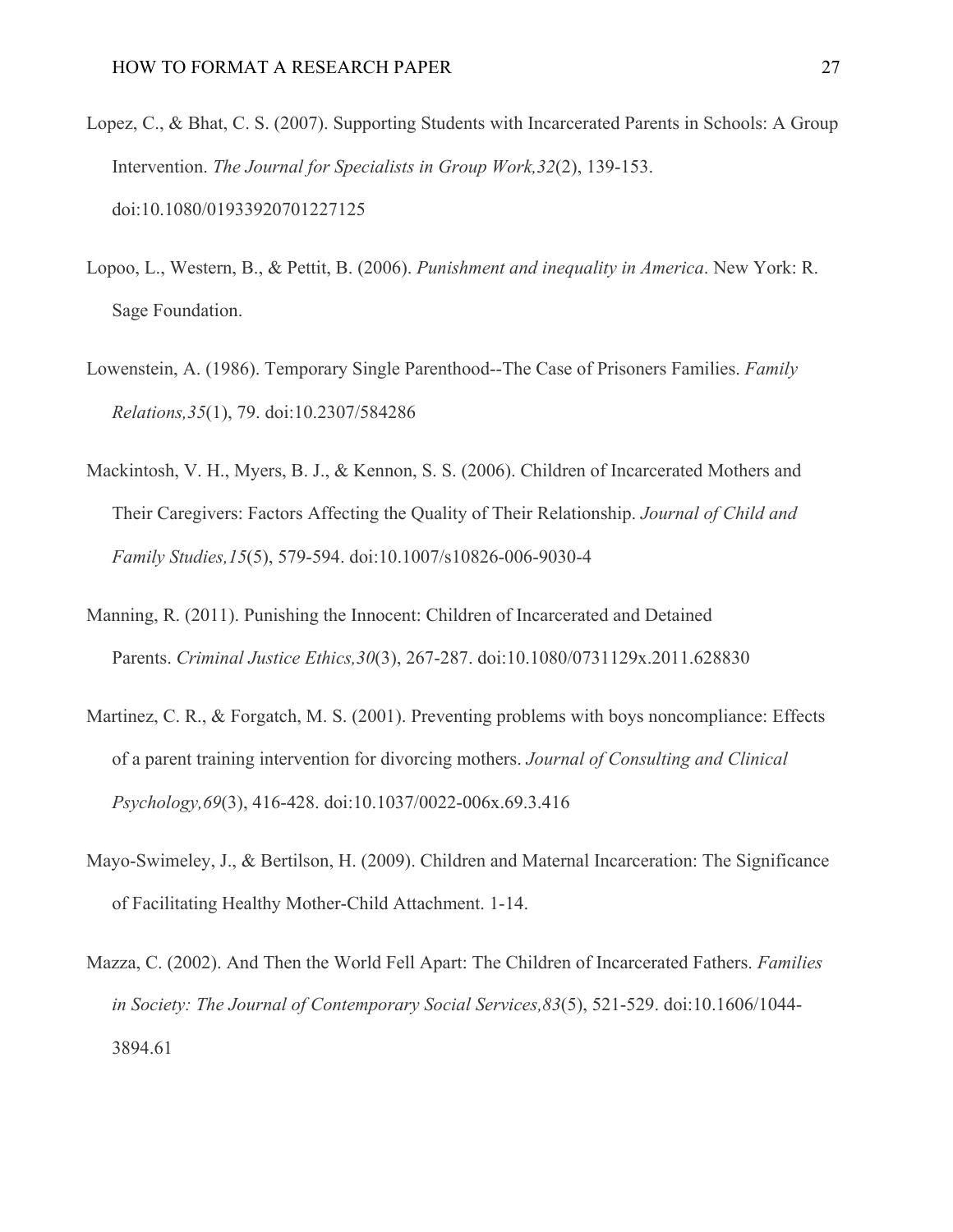- Lopez, C., & Bhat, C. S. (2007). Supporting Students with Incarcerated Parents in Schools: A Group Intervention. *The Journal for Specialists in Group Work,32*(2), 139-153. doi:10.1080/01933920701227125
- Lopoo, L., Western, B., & Pettit, B. (2006). *Punishment and inequality in America*. New York: R. Sage Foundation.
- Lowenstein, A. (1986). Temporary Single Parenthood--The Case of Prisoners Families. *Family Relations,35*(1), 79. doi:10.2307/584286
- Mackintosh, V. H., Myers, B. J., & Kennon, S. S. (2006). Children of Incarcerated Mothers and Their Caregivers: Factors Affecting the Quality of Their Relationship. *Journal of Child and Family Studies,15*(5), 579-594. doi:10.1007/s10826-006-9030-4
- Manning, R. (2011). Punishing the Innocent: Children of Incarcerated and Detained Parents. *Criminal Justice Ethics,30*(3), 267-287. doi:10.1080/0731129x.2011.628830
- Martinez, C. R., & Forgatch, M. S. (2001). Preventing problems with boys noncompliance: Effects of a parent training intervention for divorcing mothers. *Journal of Consulting and Clinical Psychology,69*(3), 416-428. doi:10.1037/0022-006x.69.3.416
- Mayo-Swimeley, J., & Bertilson, H. (2009). Children and Maternal Incarceration: The Significance of Facilitating Healthy Mother-Child Attachment. 1-14.
- Mazza, C. (2002). And Then the World Fell Apart: The Children of Incarcerated Fathers. *Families in Society: The Journal of Contemporary Social Services,83*(5), 521-529. doi:10.1606/1044- 3894.61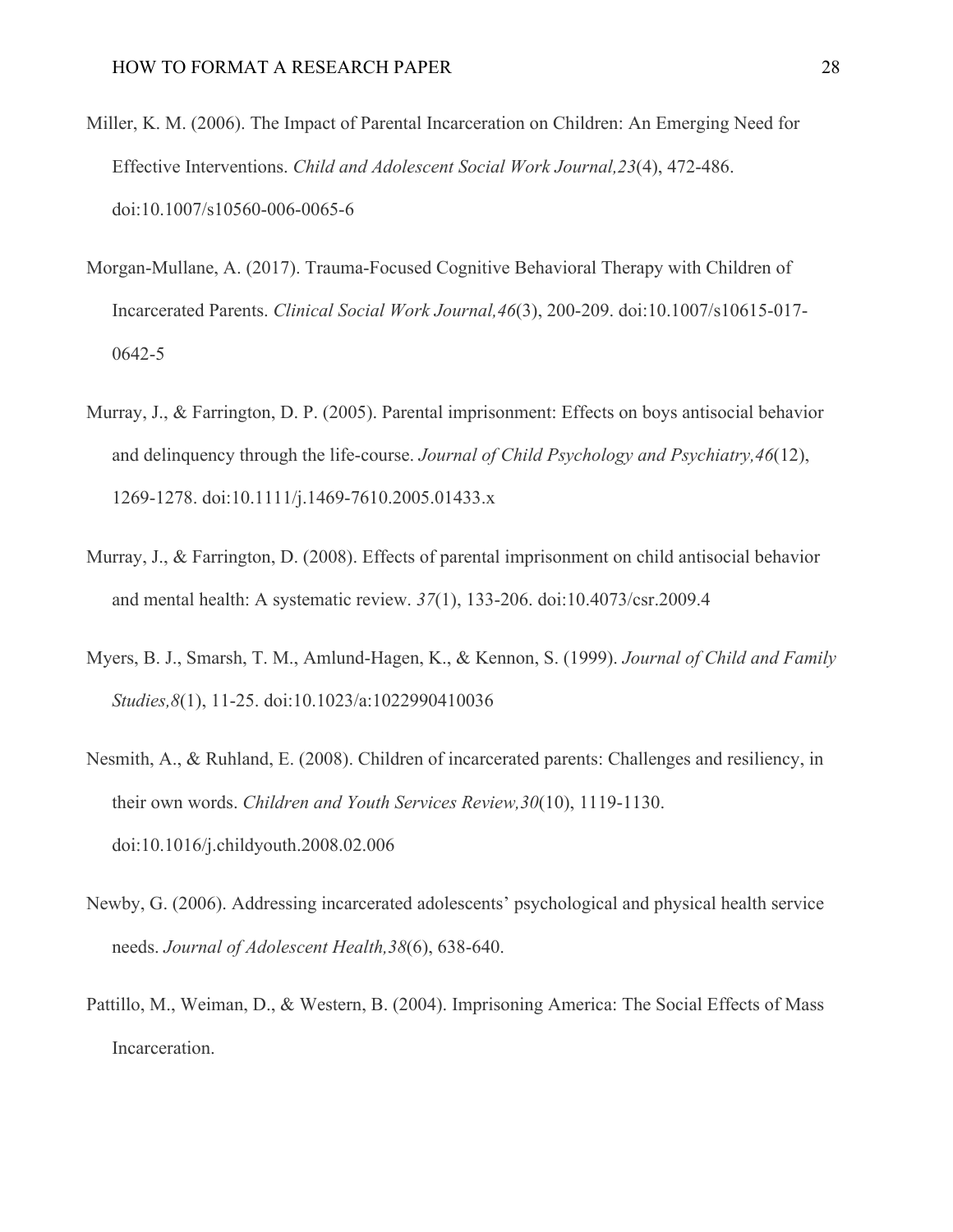- Miller, K. M. (2006). The Impact of Parental Incarceration on Children: An Emerging Need for Effective Interventions. *Child and Adolescent Social Work Journal,23*(4), 472-486. doi:10.1007/s10560-006-0065-6
- Morgan-Mullane, A. (2017). Trauma-Focused Cognitive Behavioral Therapy with Children of Incarcerated Parents. *Clinical Social Work Journal,46*(3), 200-209. doi:10.1007/s10615-017- 0642-5
- Murray, J., & Farrington, D. P. (2005). Parental imprisonment: Effects on boys antisocial behavior and delinquency through the life-course. *Journal of Child Psychology and Psychiatry,46*(12), 1269-1278. doi:10.1111/j.1469-7610.2005.01433.x
- Murray, J., & Farrington, D. (2008). Effects of parental imprisonment on child antisocial behavior and mental health: A systematic review. *37*(1), 133-206. doi:10.4073/csr.2009.4
- Myers, B. J., Smarsh, T. M., Amlund-Hagen, K., & Kennon, S. (1999). *Journal of Child and Family Studies,8*(1), 11-25. doi:10.1023/a:1022990410036
- Nesmith, A., & Ruhland, E. (2008). Children of incarcerated parents: Challenges and resiliency, in their own words. *Children and Youth Services Review,30*(10), 1119-1130. doi:10.1016/j.childyouth.2008.02.006
- Newby, G. (2006). Addressing incarcerated adolescents' psychological and physical health service needs. *Journal of Adolescent Health,38*(6), 638-640.
- Pattillo, M., Weiman, D., & Western, B. (2004). Imprisoning America: The Social Effects of Mass Incarceration.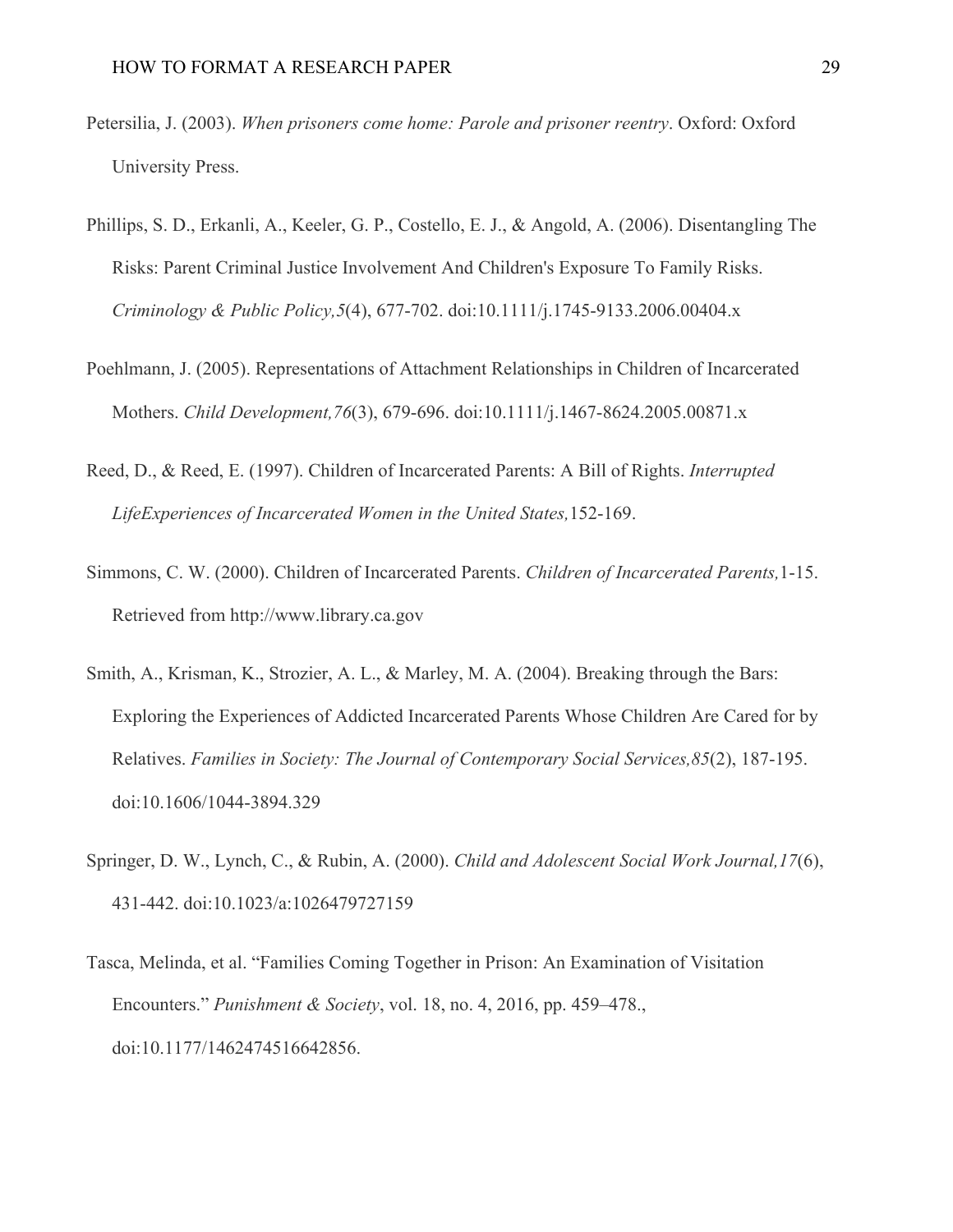- Petersilia, J. (2003). *When prisoners come home: Parole and prisoner reentry*. Oxford: Oxford University Press.
- Phillips, S. D., Erkanli, A., Keeler, G. P., Costello, E. J., & Angold, A. (2006). Disentangling The Risks: Parent Criminal Justice Involvement And Children's Exposure To Family Risks. *Criminology & Public Policy,5*(4), 677-702. doi:10.1111/j.1745-9133.2006.00404.x
- Poehlmann, J. (2005). Representations of Attachment Relationships in Children of Incarcerated Mothers. *Child Development,76*(3), 679-696. doi:10.1111/j.1467-8624.2005.00871.x
- Reed, D., & Reed, E. (1997). Children of Incarcerated Parents: A Bill of Rights. *Interrupted LifeExperiences of Incarcerated Women in the United States,*152-169.
- Simmons, C. W. (2000). Children of Incarcerated Parents. *Children of Incarcerated Parents,*1-15. Retrieved from http://www.library.ca.gov
- Smith, A., Krisman, K., Strozier, A. L., & Marley, M. A. (2004). Breaking through the Bars: Exploring the Experiences of Addicted Incarcerated Parents Whose Children Are Cared for by Relatives. *Families in Society: The Journal of Contemporary Social Services,85*(2), 187-195. doi:10.1606/1044-3894.329
- Springer, D. W., Lynch, C., & Rubin, A. (2000). *Child and Adolescent Social Work Journal,17*(6), 431-442. doi:10.1023/a:1026479727159
- Tasca, Melinda, et al. "Families Coming Together in Prison: An Examination of Visitation Encounters." *Punishment & Society*, vol. 18, no. 4, 2016, pp. 459–478., doi:10.1177/1462474516642856.